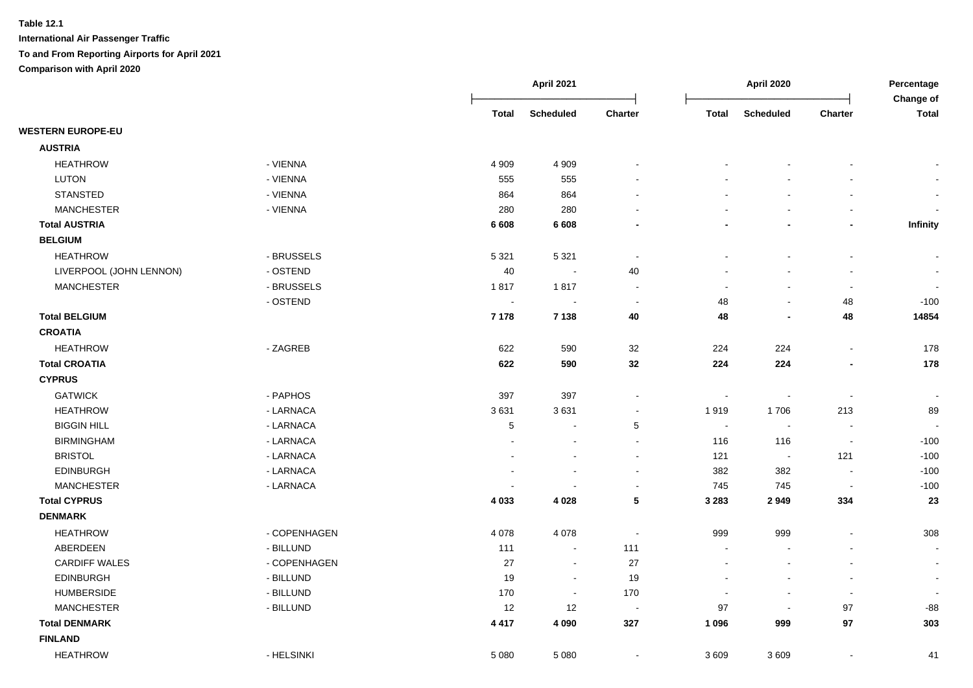|                          |              |                          | <b>April 2021</b>        |                          |                | <b>April 2020</b>        |                          | Percentage<br>Change of |  |
|--------------------------|--------------|--------------------------|--------------------------|--------------------------|----------------|--------------------------|--------------------------|-------------------------|--|
|                          |              | <b>Total</b>             | <b>Scheduled</b>         | Charter                  | <b>Total</b>   | <b>Scheduled</b>         | Charter                  | <b>Total</b>            |  |
| <b>WESTERN EUROPE-EU</b> |              |                          |                          |                          |                |                          |                          |                         |  |
| <b>AUSTRIA</b>           |              |                          |                          |                          |                |                          |                          |                         |  |
| <b>HEATHROW</b>          | - VIENNA     | 4 9 0 9                  | 4 9 0 9                  |                          |                |                          |                          |                         |  |
| LUTON                    | - VIENNA     | 555                      | 555                      |                          |                |                          |                          |                         |  |
| <b>STANSTED</b>          | - VIENNA     | 864                      | 864                      |                          |                |                          |                          |                         |  |
| <b>MANCHESTER</b>        | - VIENNA     | 280                      | 280                      |                          |                | $\overline{a}$           | $\overline{a}$           |                         |  |
| <b>Total AUSTRIA</b>     |              | 6 6 0 8                  | 6 6 0 8                  |                          |                | $\blacksquare$           |                          | Infinity                |  |
| <b>BELGIUM</b>           |              |                          |                          |                          |                |                          |                          |                         |  |
| <b>HEATHROW</b>          | - BRUSSELS   | 5 3 2 1                  | 5 3 2 1                  | $\sim$                   |                | $\blacksquare$           | $\blacksquare$           |                         |  |
| LIVERPOOL (JOHN LENNON)  | - OSTEND     | 40                       | $\sim$                   | 40                       |                | L,                       |                          | $\blacksquare$          |  |
| <b>MANCHESTER</b>        | - BRUSSELS   | 1817                     | 1817                     | $\overline{\phantom{a}}$ |                | $\overline{a}$           | $\blacksquare$           |                         |  |
|                          | - OSTEND     | $\sim$                   | $\blacksquare$           | $\sim$                   | 48             | $\blacksquare$           | 48                       | $-100$                  |  |
| <b>Total BELGIUM</b>     |              | 7 1 7 8                  | 7 1 3 8                  | 40                       | 48             | $\blacksquare$           | 48                       | 14854                   |  |
| <b>CROATIA</b>           |              |                          |                          |                          |                |                          |                          |                         |  |
| <b>HEATHROW</b>          | - ZAGREB     | 622                      | 590                      | 32                       | 224            | 224                      | $\blacksquare$           | 178                     |  |
| <b>Total CROATIA</b>     |              | 622                      | 590                      | 32                       | 224            | 224                      | $\blacksquare$           | 178                     |  |
| <b>CYPRUS</b>            |              |                          |                          |                          |                |                          |                          |                         |  |
| <b>GATWICK</b>           | - PAPHOS     | 397                      | 397                      |                          | $\blacksquare$ | $\overline{\phantom{a}}$ | $\blacksquare$           | $\sim$                  |  |
| <b>HEATHROW</b>          | - LARNACA    | 3631                     | 3631                     |                          | 1919           | 1706                     | 213                      | 89                      |  |
| <b>BIGGIN HILL</b>       | - LARNACA    | $\sqrt{5}$               | ÷,                       | 5                        | $\sim$         | $\overline{\phantom{a}}$ |                          |                         |  |
| <b>BIRMINGHAM</b>        | - LARNACA    |                          |                          | $\sim$                   | 116            | 116                      | $\blacksquare$           | $-100$                  |  |
| <b>BRISTOL</b>           | - LARNACA    |                          |                          | $\sim$                   | 121            | $\sim$                   | 121                      | $-100$                  |  |
| <b>EDINBURGH</b>         | - LARNACA    |                          | $\overline{\phantom{a}}$ | $\sim$                   | 382            | 382                      | $\sim$                   | $-100$                  |  |
| <b>MANCHESTER</b>        | - LARNACA    | $\overline{\phantom{a}}$ |                          | $\sim$                   | 745            | 745                      | $\sim$                   | $-100$                  |  |
| <b>Total CYPRUS</b>      |              | 4 0 3 3                  | 4 0 28                   | 5                        | 3 2 8 3        | 2949                     | 334                      | 23                      |  |
| <b>DENMARK</b>           |              |                          |                          |                          |                |                          |                          |                         |  |
| <b>HEATHROW</b>          | - COPENHAGEN | 4 0 7 8                  | 4 0 7 8                  | $\sim$                   | 999            | 999                      |                          | 308                     |  |
| ABERDEEN                 | - BILLUND    | 111                      | $\blacksquare$           | 111                      | $\sim$         | $\mathbf{r}$             | $\overline{\phantom{a}}$ | $\blacksquare$          |  |
| <b>CARDIFF WALES</b>     | - COPENHAGEN | 27                       | $\sim$                   | 27                       |                | $\blacksquare$           | $\blacksquare$           | $\blacksquare$          |  |
| <b>EDINBURGH</b>         | - BILLUND    | 19                       | $\blacksquare$           | 19                       |                |                          | $\overline{a}$           | $\blacksquare$          |  |
| <b>HUMBERSIDE</b>        | - BILLUND    | 170                      | $\blacksquare$           | 170                      |                | $\overline{a}$           | $\overline{a}$           | $\blacksquare$          |  |
| <b>MANCHESTER</b>        | - BILLUND    | 12                       | 12                       | $\sim$                   | 97             | $\overline{\phantom{a}}$ | 97                       | $-88$                   |  |
| <b>Total DENMARK</b>     |              | 4 4 1 7                  | 4 0 9 0                  | 327                      | 1 0 9 6        | 999                      | 97                       | 303                     |  |
| <b>FINLAND</b>           |              |                          |                          |                          |                |                          |                          |                         |  |
| <b>HEATHROW</b>          | - HELSINKI   | 5 0 8 0                  | 5 0 8 0                  | $\sim$                   | 3609           | 3609                     | L,                       | 41                      |  |
|                          |              |                          |                          |                          |                |                          |                          |                         |  |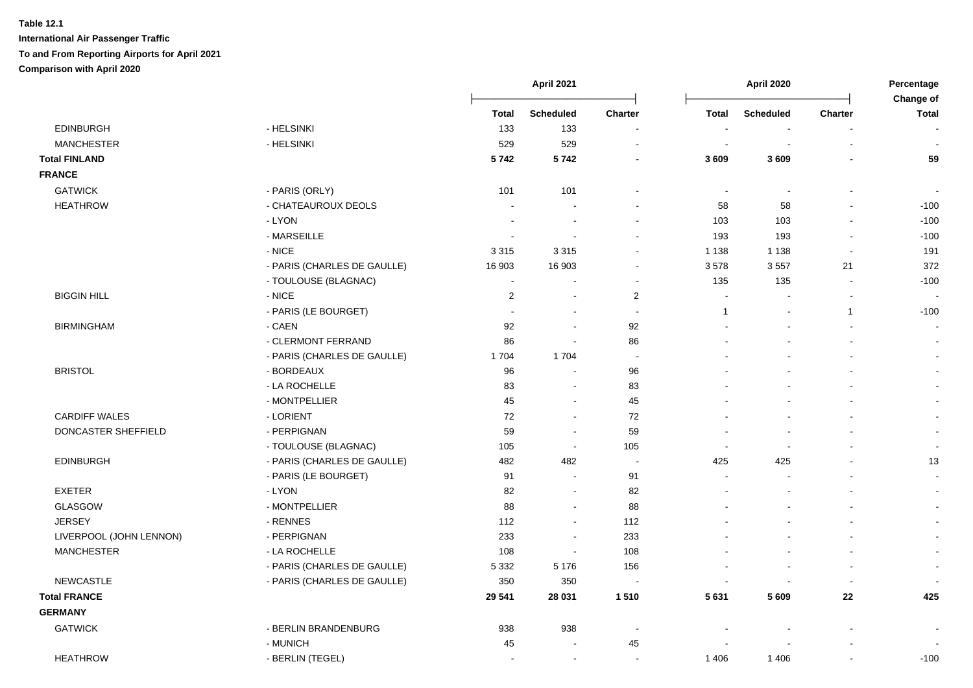|                         |                             | April 2021     |                          | April 2020               |                          |                  | Percentage<br>Change of |                          |
|-------------------------|-----------------------------|----------------|--------------------------|--------------------------|--------------------------|------------------|-------------------------|--------------------------|
|                         |                             | <b>Total</b>   | <b>Scheduled</b>         | <b>Charter</b>           | <b>Total</b>             | <b>Scheduled</b> | Charter                 | <b>Total</b>             |
| <b>EDINBURGH</b>        | - HELSINKI                  | 133            | 133                      | $\blacksquare$           |                          |                  |                         |                          |
| <b>MANCHESTER</b>       | - HELSINKI                  | 529            | 529                      |                          |                          |                  |                         |                          |
| <b>Total FINLAND</b>    |                             | 5742           | 5742                     |                          | 3 6 0 9                  | 3609             |                         | 59                       |
| <b>FRANCE</b>           |                             |                |                          |                          |                          |                  |                         |                          |
| <b>GATWICK</b>          | - PARIS (ORLY)              | 101            | 101                      |                          | $\overline{\phantom{a}}$ | $\blacksquare$   |                         |                          |
| <b>HEATHROW</b>         | - CHATEAUROUX DEOLS         |                |                          |                          | 58                       | 58               |                         | $-100$                   |
|                         | - LYON                      |                | $\overline{a}$           |                          | 103                      | 103              |                         | $-100$                   |
|                         | - MARSEILLE                 |                |                          |                          | 193                      | 193              | $\sim$                  | $-100$                   |
|                         | $-NICE$                     | 3 3 1 5        | 3 3 1 5                  | $\blacksquare$           | 1 1 3 8                  | 1 1 3 8          | $\sim$                  | 191                      |
|                         | - PARIS (CHARLES DE GAULLE) | 16 903         | 16 903                   | $\blacksquare$           | 3578                     | 3557             | 21                      | 372                      |
|                         | - TOULOUSE (BLAGNAC)        | $\sim$         | ۰                        | $\blacksquare$           | 135                      | 135              | $\sim$                  | $-100$                   |
| <b>BIGGIN HILL</b>      | - NICE                      | $\overline{c}$ | $\blacksquare$           | $\overline{2}$           | $\blacksquare$           |                  | $\sim$                  |                          |
|                         | - PARIS (LE BOURGET)        |                | ä,                       | $\overline{\phantom{a}}$ | $\mathbf{1}$             |                  | $\mathbf{1}$            | $-100$                   |
| <b>BIRMINGHAM</b>       | - CAEN                      | 92             | $\sim$                   | 92                       |                          |                  |                         | $\sim$                   |
|                         | - CLERMONT FERRAND          | 86             | $\blacksquare$           | 86                       |                          |                  |                         | $\sim$                   |
|                         | - PARIS (CHARLES DE GAULLE) | 1704           | 1704                     | $\overline{a}$           |                          |                  |                         | $\sim$                   |
| <b>BRISTOL</b>          | - BORDEAUX                  | 96             | $\ddot{\phantom{a}}$     | 96                       |                          |                  |                         | $\sim$                   |
|                         | - LA ROCHELLE               | 83             | $\blacksquare$           | 83                       |                          |                  |                         |                          |
|                         | - MONTPELLIER               | 45             | $\sim$                   | 45                       |                          |                  |                         | $\sim$                   |
| <b>CARDIFF WALES</b>    | - LORIENT                   | 72             | $\blacksquare$           | 72                       |                          |                  |                         | $\sim$                   |
| DONCASTER SHEFFIELD     | - PERPIGNAN                 | 59             | $\blacksquare$           | 59                       |                          |                  |                         | $\blacksquare$           |
|                         | - TOULOUSE (BLAGNAC)        | 105            | $\sim$                   | 105                      |                          |                  |                         | $\sim$                   |
| <b>EDINBURGH</b>        | - PARIS (CHARLES DE GAULLE) | 482            | 482                      | $\sim$                   | 425                      | 425              |                         | 13                       |
|                         | - PARIS (LE BOURGET)        | 91             | $\blacksquare$           | 91                       | $\overline{a}$           |                  |                         | $\sim$                   |
| <b>EXETER</b>           | - LYON                      | 82             | $\sim$                   | 82                       |                          |                  |                         | $\sim$                   |
| <b>GLASGOW</b>          | - MONTPELLIER               | 88             | $\blacksquare$           | 88                       |                          |                  |                         | $\sim$                   |
| <b>JERSEY</b>           | - RENNES                    | 112            | $\blacksquare$           | 112                      |                          |                  |                         | $\sim$                   |
| LIVERPOOL (JOHN LENNON) | - PERPIGNAN                 | 233            | $\blacksquare$           | 233                      |                          |                  |                         | $\sim$                   |
| <b>MANCHESTER</b>       | - LA ROCHELLE               | 108            | $\sim$                   | 108                      |                          |                  |                         | $\sim$                   |
|                         | - PARIS (CHARLES DE GAULLE) | 5 3 3 2        | 5 1 7 6                  | 156                      |                          |                  | $\sim$                  | $\overline{\phantom{a}}$ |
| <b>NEWCASTLE</b>        | - PARIS (CHARLES DE GAULLE) | 350            | 350                      |                          | $\overline{\phantom{a}}$ |                  |                         |                          |
| <b>Total FRANCE</b>     |                             | 29 541         | 28 031                   | 1510                     | 5 6 3 1                  | 5 609            | 22                      | 425                      |
| <b>GERMANY</b>          |                             |                |                          |                          |                          |                  |                         |                          |
| <b>GATWICK</b>          | - BERLIN BRANDENBURG        | 938            | 938                      |                          |                          |                  |                         |                          |
|                         | - MUNICH                    | 45             | $\overline{\phantom{a}}$ | 45                       |                          |                  |                         |                          |
| <b>HEATHROW</b>         | - BERLIN (TEGEL)            |                | $\blacksquare$           | $\sim$                   | 1 4 0 6                  | 1 4 0 6          |                         | $-100$                   |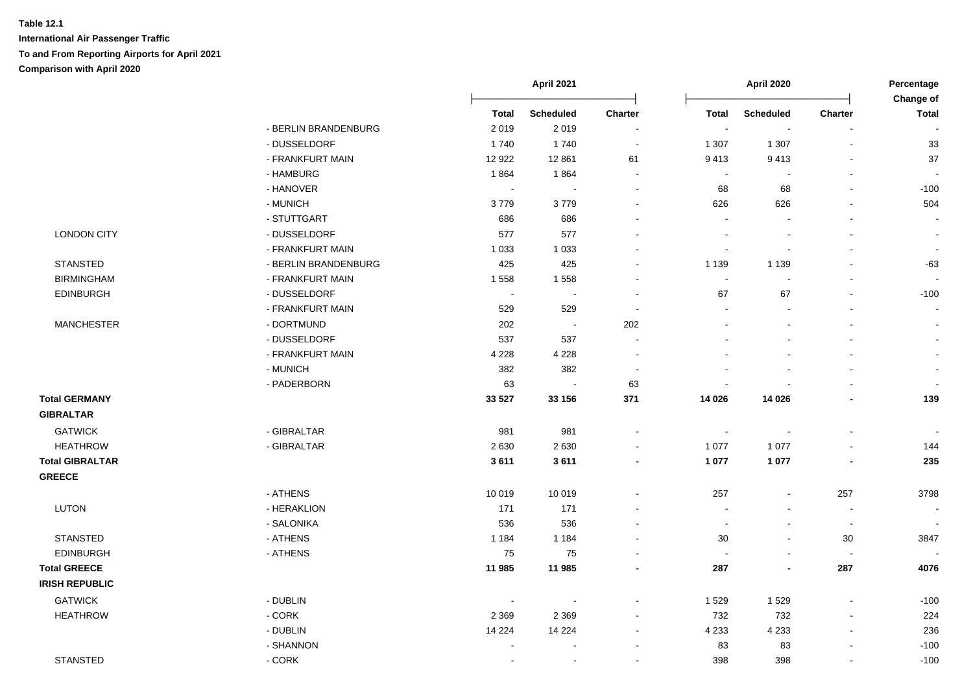|                        |                      |                          | April 2021               |                          |                | April 2020               |                          |                           |
|------------------------|----------------------|--------------------------|--------------------------|--------------------------|----------------|--------------------------|--------------------------|---------------------------|
|                        |                      | <b>Total</b>             | <b>Scheduled</b>         | Charter                  | Total          | <b>Scheduled</b>         | Charter                  | Change of<br><b>Total</b> |
|                        | - BERLIN BRANDENBURG | 2019                     | 2019                     | $\sim$                   | $\sim$         | $\sim$                   | $\sim$                   |                           |
|                        | - DUSSELDORF         | 1740                     | 1740                     | $\blacksquare$           | 1 307          | 1 307                    | $\sim$                   | 33                        |
|                        | - FRANKFURT MAIN     | 12 9 22                  | 12 861                   | 61                       | 9413           | 9413                     | $\blacksquare$           | 37                        |
|                        | - HAMBURG            | 1864                     | 1864                     | $\sim$                   | $\blacksquare$ |                          | $\blacksquare$           |                           |
|                        | - HANOVER            | $\overline{\phantom{a}}$ | $\sim$                   | $\sim$                   | 68             | 68                       | $\blacksquare$           | $-100$                    |
|                        | - MUNICH             | 3779                     | 3779                     |                          | 626            | 626                      | ä,                       | 504                       |
|                        | - STUTTGART          | 686                      | 686                      |                          |                |                          | $\blacksquare$           |                           |
| <b>LONDON CITY</b>     | - DUSSELDORF         | 577                      | 577                      |                          |                |                          | $\blacksquare$           | $\sim$                    |
|                        | - FRANKFURT MAIN     | 1 0 3 3                  | 1 0 3 3                  |                          | $\blacksquare$ |                          |                          | $\sim$                    |
| <b>STANSTED</b>        | - BERLIN BRANDENBURG | 425                      | 425                      |                          | 1 1 3 9        | 1 1 3 9                  |                          | $-63$                     |
| <b>BIRMINGHAM</b>      | - FRANKFURT MAIN     | 1558                     | 1558                     |                          | $\blacksquare$ |                          |                          |                           |
| <b>EDINBURGH</b>       | - DUSSELDORF         | $\sim$                   | $\sim$                   |                          | 67             | 67                       | $\overline{a}$           | $-100$                    |
|                        | - FRANKFURT MAIN     | 529                      | 529                      | $\sim$                   |                |                          |                          |                           |
| <b>MANCHESTER</b>      | - DORTMUND           | 202                      | $\sim$                   | 202                      |                |                          |                          |                           |
|                        | - DUSSELDORF         | 537                      | 537                      | $\sim$                   |                |                          |                          |                           |
|                        | - FRANKFURT MAIN     | 4 2 2 8                  | 4 2 2 8                  | $\sim$                   |                |                          |                          |                           |
|                        | - MUNICH             | 382                      | 382                      | $\sim$                   |                |                          |                          | $\sim$                    |
|                        | - PADERBORN          | 63                       | $\overline{\phantom{a}}$ | 63                       |                |                          | $\blacksquare$           |                           |
| <b>Total GERMANY</b>   |                      | 33 5 27                  | 33 156                   | 371                      | 14 0 26        | 14 0 26                  | $\blacksquare$           | 139                       |
| <b>GIBRALTAR</b>       |                      |                          |                          |                          |                |                          |                          |                           |
| <b>GATWICK</b>         | - GIBRALTAR          | 981                      | 981                      | $\sim$                   | $\blacksquare$ |                          | $\overline{\phantom{a}}$ |                           |
| <b>HEATHROW</b>        | - GIBRALTAR          | 2630                     | 2630                     | $\sim$                   | 1 0 7 7        | 1 0 7 7                  | $\blacksquare$           | 144                       |
| <b>Total GIBRALTAR</b> |                      | 3611                     | 3611                     | $\blacksquare$           | 1 0 7 7        | 1 0 7 7                  |                          | 235                       |
| <b>GREECE</b>          |                      |                          |                          |                          |                |                          |                          |                           |
|                        | - ATHENS             | 10 019                   | 10 019                   | $\sim$                   | 257            | $\sim$                   | 257                      | 3798                      |
| <b>LUTON</b>           | - HERAKLION          | 171                      | 171                      |                          |                |                          | $\overline{\phantom{a}}$ | $\blacksquare$            |
|                        | - SALONIKA           | 536                      | 536                      |                          |                |                          | $\sim$                   |                           |
| <b>STANSTED</b>        | - ATHENS             | 1 1 8 4                  | 1 1 8 4                  |                          | $30\,$         |                          | $30\,$                   | 3847                      |
| <b>EDINBURGH</b>       | - ATHENS             | 75                       | 75                       |                          |                |                          | $\blacksquare$           |                           |
| <b>Total GREECE</b>    |                      | 11 985                   | 11 985                   | $\overline{\phantom{a}}$ | 287            | $\overline{\phantom{a}}$ | 287                      | 4076                      |
| <b>IRISH REPUBLIC</b>  |                      |                          |                          |                          |                |                          |                          |                           |
| <b>GATWICK</b>         | - DUBLIN             | $\sim$                   | и,                       |                          | 1529           | 1529                     | $\blacksquare$           | $-100$                    |
| <b>HEATHROW</b>        | $-CORK$              | 2 3 6 9                  | 2 3 6 9                  | $\sim$                   | 732            | 732                      | $\overline{\phantom{a}}$ | 224                       |
|                        | - DUBLIN             | 14 2 24                  | 14 2 24                  | $\sim$                   | 4 2 3 3        | 4 2 3 3                  | $\sim$                   | 236                       |
|                        | - SHANNON            |                          |                          |                          | 83             | 83                       | $\sim$                   | $-100$                    |
| <b>STANSTED</b>        | $-CORK$              |                          | $\sim$                   |                          | 398            | 398                      | $\mathbf{r}$             | $-100$                    |
|                        |                      |                          |                          |                          |                |                          |                          |                           |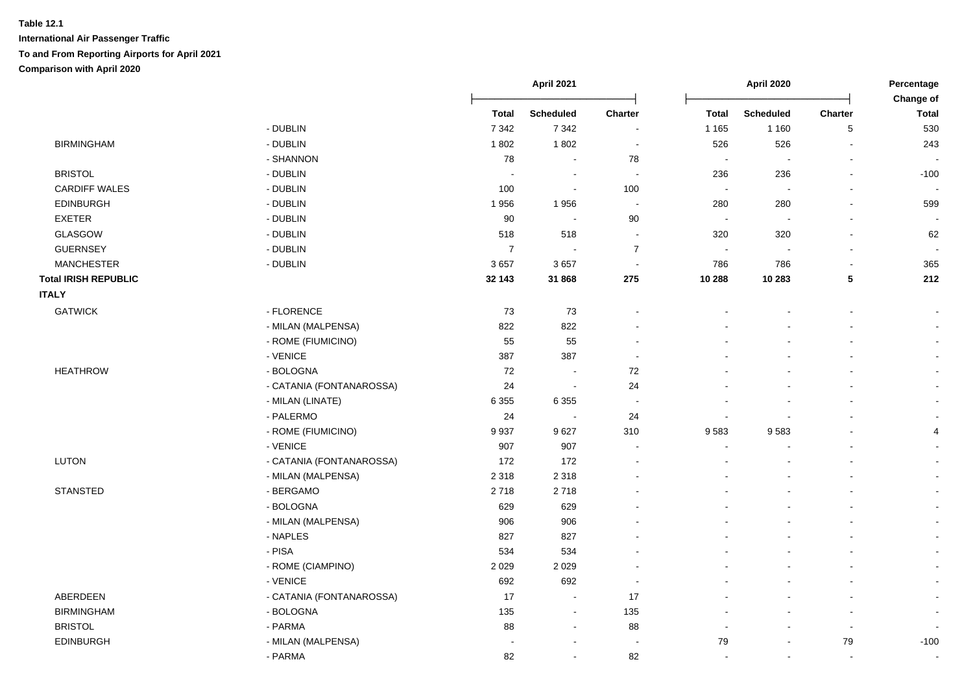| <b>Scheduled</b><br>Charter<br><b>Scheduled</b><br><b>Charter</b><br><b>Total</b><br><b>Total</b><br><b>Total</b><br>- DUBLIN<br>$\sqrt{5}$<br>530<br>7 3 4 2<br>7 3 4 2<br>1 1 6 5<br>1 1 6 0<br>$\blacksquare$<br><b>BIRMINGHAM</b><br>- DUBLIN<br>1802<br>1802<br>526<br>526<br>243<br>$\blacksquare$<br>- SHANNON<br>78<br>78<br>$\sim$<br>$\sim$<br>$\overline{a}$<br>÷,<br>$\overline{\phantom{a}}$<br><b>BRISTOL</b><br>- DUBLIN<br>236<br>236<br>$-100$<br>$\overline{a}$<br>$\sim$<br>$\sim$<br><b>CARDIFF WALES</b><br>- DUBLIN<br>100<br>100<br>$\mathcal{L}_{\mathcal{A}}$<br>$\sim$<br>$\sim$<br>$\sim$<br><b>EDINBURGH</b><br>- DUBLIN<br>280<br>1956<br>1956<br>280<br>599<br>$\sim$<br><b>EXETER</b><br>- DUBLIN<br>90<br>90<br>$\sim$<br>$\sim$<br>$\sim$<br>$\sim$<br><b>GLASGOW</b><br>- DUBLIN<br>518<br>320<br>320<br>518<br>62<br>$\sim$<br><b>GUERNSEY</b><br>- DUBLIN<br>$\overline{7}$<br>$\overline{7}$<br>$\mathcal{L}_{\mathcal{A}}$<br>$\sim$<br>$\sim$<br>$\sim$<br>$\overline{\phantom{a}}$<br><b>MANCHESTER</b><br>- DUBLIN<br>3657<br>3657<br>365<br>786<br>786<br>÷.<br>$\sim$<br>212<br><b>Total IRISH REPUBLIC</b><br>32 143<br>31 868<br>275<br>10 288<br>10 283<br>$5\phantom{.0}$<br><b>ITALY</b><br><b>GATWICK</b><br>- FLORENCE<br>73<br>73<br>$\sim$<br>- MILAN (MALPENSA)<br>822<br>822<br>$\sim$<br>- ROME (FIUMICINO)<br>55<br>55<br>$\sim$<br>- VENICE<br>387<br>387<br>$\sim$<br><b>HEATHROW</b><br>- BOLOGNA<br>72<br>72<br>$\sim$<br>- CATANIA (FONTANAROSSA)<br>24<br>24<br>$\sim$<br>$\mathbf{r}$<br>- MILAN (LINATE)<br>6 3 5 5<br>6 3 5 5<br>$\sim$<br>$\sim$<br>- PALERMO<br>24<br>24<br>$\sim$<br>$\blacksquare$<br>- ROME (FIUMICINO)<br>9937<br>9627<br>9583<br>9583<br>310<br>4<br>- VENICE<br>907<br>907<br>$\sim$<br>$\blacksquare$<br>$\sim$<br>172<br><b>LUTON</b><br>- CATANIA (FONTANAROSSA)<br>172<br>$\blacksquare$<br>- MILAN (MALPENSA)<br>2 3 1 8<br>2 3 1 8<br>$\sim$<br><b>STANSTED</b><br>- BERGAMO<br>2718<br>2718<br>$\sim$<br>- BOLOGNA<br>629<br>629<br>$\sim$<br>- MILAN (MALPENSA)<br>906<br>906<br>$\sim$<br>- NAPLES<br>827<br>827<br>$\sim$<br>- PISA<br>534<br>534<br>$\blacksquare$<br>- ROME (CIAMPINO)<br>2 0 2 9<br>2 0 2 9<br>$\blacksquare$<br>- VENICE<br>692<br>692<br>$\sim$<br>$\sim$<br>ABERDEEN<br>- CATANIA (FONTANAROSSA)<br>17<br>17<br>$\sim$<br>$\sim$<br><b>BIRMINGHAM</b><br>- BOLOGNA<br>135<br>135<br>$\sim$<br>$\sim$<br>$\sim$<br><b>BRISTOL</b><br>- PARMA<br>88<br>88<br>$\sim$<br>$\sim$<br>$\sim$<br>$\sim$<br><b>EDINBURGH</b><br>- MILAN (MALPENSA)<br>79<br>$\bf 79$<br>$-100$<br>$\sim$<br>$\overline{\phantom{a}}$<br>- PARMA<br>82<br>82<br>$\sim$<br>$\sim$<br>$\sim$<br>$\sim$<br>$\blacksquare$ |  | April 2021 |  | <b>April 2020</b> |  | Percentage<br>Change of |  |
|-----------------------------------------------------------------------------------------------------------------------------------------------------------------------------------------------------------------------------------------------------------------------------------------------------------------------------------------------------------------------------------------------------------------------------------------------------------------------------------------------------------------------------------------------------------------------------------------------------------------------------------------------------------------------------------------------------------------------------------------------------------------------------------------------------------------------------------------------------------------------------------------------------------------------------------------------------------------------------------------------------------------------------------------------------------------------------------------------------------------------------------------------------------------------------------------------------------------------------------------------------------------------------------------------------------------------------------------------------------------------------------------------------------------------------------------------------------------------------------------------------------------------------------------------------------------------------------------------------------------------------------------------------------------------------------------------------------------------------------------------------------------------------------------------------------------------------------------------------------------------------------------------------------------------------------------------------------------------------------------------------------------------------------------------------------------------------------------------------------------------------------------------------------------------------------------------------------------------------------------------------------------------------------------------------------------------------------------------------------------------------------------------------------------------------------------------------------------------------------------------------------------------------------------------------------------------------------------------------------------------------------------------------------------------------------------------------------------------|--|------------|--|-------------------|--|-------------------------|--|
|                                                                                                                                                                                                                                                                                                                                                                                                                                                                                                                                                                                                                                                                                                                                                                                                                                                                                                                                                                                                                                                                                                                                                                                                                                                                                                                                                                                                                                                                                                                                                                                                                                                                                                                                                                                                                                                                                                                                                                                                                                                                                                                                                                                                                                                                                                                                                                                                                                                                                                                                                                                                                                                                                                                       |  |            |  |                   |  |                         |  |
|                                                                                                                                                                                                                                                                                                                                                                                                                                                                                                                                                                                                                                                                                                                                                                                                                                                                                                                                                                                                                                                                                                                                                                                                                                                                                                                                                                                                                                                                                                                                                                                                                                                                                                                                                                                                                                                                                                                                                                                                                                                                                                                                                                                                                                                                                                                                                                                                                                                                                                                                                                                                                                                                                                                       |  |            |  |                   |  |                         |  |
|                                                                                                                                                                                                                                                                                                                                                                                                                                                                                                                                                                                                                                                                                                                                                                                                                                                                                                                                                                                                                                                                                                                                                                                                                                                                                                                                                                                                                                                                                                                                                                                                                                                                                                                                                                                                                                                                                                                                                                                                                                                                                                                                                                                                                                                                                                                                                                                                                                                                                                                                                                                                                                                                                                                       |  |            |  |                   |  |                         |  |
|                                                                                                                                                                                                                                                                                                                                                                                                                                                                                                                                                                                                                                                                                                                                                                                                                                                                                                                                                                                                                                                                                                                                                                                                                                                                                                                                                                                                                                                                                                                                                                                                                                                                                                                                                                                                                                                                                                                                                                                                                                                                                                                                                                                                                                                                                                                                                                                                                                                                                                                                                                                                                                                                                                                       |  |            |  |                   |  |                         |  |
|                                                                                                                                                                                                                                                                                                                                                                                                                                                                                                                                                                                                                                                                                                                                                                                                                                                                                                                                                                                                                                                                                                                                                                                                                                                                                                                                                                                                                                                                                                                                                                                                                                                                                                                                                                                                                                                                                                                                                                                                                                                                                                                                                                                                                                                                                                                                                                                                                                                                                                                                                                                                                                                                                                                       |  |            |  |                   |  |                         |  |
|                                                                                                                                                                                                                                                                                                                                                                                                                                                                                                                                                                                                                                                                                                                                                                                                                                                                                                                                                                                                                                                                                                                                                                                                                                                                                                                                                                                                                                                                                                                                                                                                                                                                                                                                                                                                                                                                                                                                                                                                                                                                                                                                                                                                                                                                                                                                                                                                                                                                                                                                                                                                                                                                                                                       |  |            |  |                   |  |                         |  |
|                                                                                                                                                                                                                                                                                                                                                                                                                                                                                                                                                                                                                                                                                                                                                                                                                                                                                                                                                                                                                                                                                                                                                                                                                                                                                                                                                                                                                                                                                                                                                                                                                                                                                                                                                                                                                                                                                                                                                                                                                                                                                                                                                                                                                                                                                                                                                                                                                                                                                                                                                                                                                                                                                                                       |  |            |  |                   |  |                         |  |
|                                                                                                                                                                                                                                                                                                                                                                                                                                                                                                                                                                                                                                                                                                                                                                                                                                                                                                                                                                                                                                                                                                                                                                                                                                                                                                                                                                                                                                                                                                                                                                                                                                                                                                                                                                                                                                                                                                                                                                                                                                                                                                                                                                                                                                                                                                                                                                                                                                                                                                                                                                                                                                                                                                                       |  |            |  |                   |  |                         |  |
|                                                                                                                                                                                                                                                                                                                                                                                                                                                                                                                                                                                                                                                                                                                                                                                                                                                                                                                                                                                                                                                                                                                                                                                                                                                                                                                                                                                                                                                                                                                                                                                                                                                                                                                                                                                                                                                                                                                                                                                                                                                                                                                                                                                                                                                                                                                                                                                                                                                                                                                                                                                                                                                                                                                       |  |            |  |                   |  |                         |  |
|                                                                                                                                                                                                                                                                                                                                                                                                                                                                                                                                                                                                                                                                                                                                                                                                                                                                                                                                                                                                                                                                                                                                                                                                                                                                                                                                                                                                                                                                                                                                                                                                                                                                                                                                                                                                                                                                                                                                                                                                                                                                                                                                                                                                                                                                                                                                                                                                                                                                                                                                                                                                                                                                                                                       |  |            |  |                   |  |                         |  |
|                                                                                                                                                                                                                                                                                                                                                                                                                                                                                                                                                                                                                                                                                                                                                                                                                                                                                                                                                                                                                                                                                                                                                                                                                                                                                                                                                                                                                                                                                                                                                                                                                                                                                                                                                                                                                                                                                                                                                                                                                                                                                                                                                                                                                                                                                                                                                                                                                                                                                                                                                                                                                                                                                                                       |  |            |  |                   |  |                         |  |
|                                                                                                                                                                                                                                                                                                                                                                                                                                                                                                                                                                                                                                                                                                                                                                                                                                                                                                                                                                                                                                                                                                                                                                                                                                                                                                                                                                                                                                                                                                                                                                                                                                                                                                                                                                                                                                                                                                                                                                                                                                                                                                                                                                                                                                                                                                                                                                                                                                                                                                                                                                                                                                                                                                                       |  |            |  |                   |  |                         |  |
|                                                                                                                                                                                                                                                                                                                                                                                                                                                                                                                                                                                                                                                                                                                                                                                                                                                                                                                                                                                                                                                                                                                                                                                                                                                                                                                                                                                                                                                                                                                                                                                                                                                                                                                                                                                                                                                                                                                                                                                                                                                                                                                                                                                                                                                                                                                                                                                                                                                                                                                                                                                                                                                                                                                       |  |            |  |                   |  |                         |  |
|                                                                                                                                                                                                                                                                                                                                                                                                                                                                                                                                                                                                                                                                                                                                                                                                                                                                                                                                                                                                                                                                                                                                                                                                                                                                                                                                                                                                                                                                                                                                                                                                                                                                                                                                                                                                                                                                                                                                                                                                                                                                                                                                                                                                                                                                                                                                                                                                                                                                                                                                                                                                                                                                                                                       |  |            |  |                   |  |                         |  |
|                                                                                                                                                                                                                                                                                                                                                                                                                                                                                                                                                                                                                                                                                                                                                                                                                                                                                                                                                                                                                                                                                                                                                                                                                                                                                                                                                                                                                                                                                                                                                                                                                                                                                                                                                                                                                                                                                                                                                                                                                                                                                                                                                                                                                                                                                                                                                                                                                                                                                                                                                                                                                                                                                                                       |  |            |  |                   |  |                         |  |
|                                                                                                                                                                                                                                                                                                                                                                                                                                                                                                                                                                                                                                                                                                                                                                                                                                                                                                                                                                                                                                                                                                                                                                                                                                                                                                                                                                                                                                                                                                                                                                                                                                                                                                                                                                                                                                                                                                                                                                                                                                                                                                                                                                                                                                                                                                                                                                                                                                                                                                                                                                                                                                                                                                                       |  |            |  |                   |  |                         |  |
|                                                                                                                                                                                                                                                                                                                                                                                                                                                                                                                                                                                                                                                                                                                                                                                                                                                                                                                                                                                                                                                                                                                                                                                                                                                                                                                                                                                                                                                                                                                                                                                                                                                                                                                                                                                                                                                                                                                                                                                                                                                                                                                                                                                                                                                                                                                                                                                                                                                                                                                                                                                                                                                                                                                       |  |            |  |                   |  |                         |  |
|                                                                                                                                                                                                                                                                                                                                                                                                                                                                                                                                                                                                                                                                                                                                                                                                                                                                                                                                                                                                                                                                                                                                                                                                                                                                                                                                                                                                                                                                                                                                                                                                                                                                                                                                                                                                                                                                                                                                                                                                                                                                                                                                                                                                                                                                                                                                                                                                                                                                                                                                                                                                                                                                                                                       |  |            |  |                   |  |                         |  |
|                                                                                                                                                                                                                                                                                                                                                                                                                                                                                                                                                                                                                                                                                                                                                                                                                                                                                                                                                                                                                                                                                                                                                                                                                                                                                                                                                                                                                                                                                                                                                                                                                                                                                                                                                                                                                                                                                                                                                                                                                                                                                                                                                                                                                                                                                                                                                                                                                                                                                                                                                                                                                                                                                                                       |  |            |  |                   |  |                         |  |
|                                                                                                                                                                                                                                                                                                                                                                                                                                                                                                                                                                                                                                                                                                                                                                                                                                                                                                                                                                                                                                                                                                                                                                                                                                                                                                                                                                                                                                                                                                                                                                                                                                                                                                                                                                                                                                                                                                                                                                                                                                                                                                                                                                                                                                                                                                                                                                                                                                                                                                                                                                                                                                                                                                                       |  |            |  |                   |  |                         |  |
|                                                                                                                                                                                                                                                                                                                                                                                                                                                                                                                                                                                                                                                                                                                                                                                                                                                                                                                                                                                                                                                                                                                                                                                                                                                                                                                                                                                                                                                                                                                                                                                                                                                                                                                                                                                                                                                                                                                                                                                                                                                                                                                                                                                                                                                                                                                                                                                                                                                                                                                                                                                                                                                                                                                       |  |            |  |                   |  |                         |  |
|                                                                                                                                                                                                                                                                                                                                                                                                                                                                                                                                                                                                                                                                                                                                                                                                                                                                                                                                                                                                                                                                                                                                                                                                                                                                                                                                                                                                                                                                                                                                                                                                                                                                                                                                                                                                                                                                                                                                                                                                                                                                                                                                                                                                                                                                                                                                                                                                                                                                                                                                                                                                                                                                                                                       |  |            |  |                   |  |                         |  |
|                                                                                                                                                                                                                                                                                                                                                                                                                                                                                                                                                                                                                                                                                                                                                                                                                                                                                                                                                                                                                                                                                                                                                                                                                                                                                                                                                                                                                                                                                                                                                                                                                                                                                                                                                                                                                                                                                                                                                                                                                                                                                                                                                                                                                                                                                                                                                                                                                                                                                                                                                                                                                                                                                                                       |  |            |  |                   |  |                         |  |
|                                                                                                                                                                                                                                                                                                                                                                                                                                                                                                                                                                                                                                                                                                                                                                                                                                                                                                                                                                                                                                                                                                                                                                                                                                                                                                                                                                                                                                                                                                                                                                                                                                                                                                                                                                                                                                                                                                                                                                                                                                                                                                                                                                                                                                                                                                                                                                                                                                                                                                                                                                                                                                                                                                                       |  |            |  |                   |  |                         |  |
|                                                                                                                                                                                                                                                                                                                                                                                                                                                                                                                                                                                                                                                                                                                                                                                                                                                                                                                                                                                                                                                                                                                                                                                                                                                                                                                                                                                                                                                                                                                                                                                                                                                                                                                                                                                                                                                                                                                                                                                                                                                                                                                                                                                                                                                                                                                                                                                                                                                                                                                                                                                                                                                                                                                       |  |            |  |                   |  |                         |  |
|                                                                                                                                                                                                                                                                                                                                                                                                                                                                                                                                                                                                                                                                                                                                                                                                                                                                                                                                                                                                                                                                                                                                                                                                                                                                                                                                                                                                                                                                                                                                                                                                                                                                                                                                                                                                                                                                                                                                                                                                                                                                                                                                                                                                                                                                                                                                                                                                                                                                                                                                                                                                                                                                                                                       |  |            |  |                   |  |                         |  |
|                                                                                                                                                                                                                                                                                                                                                                                                                                                                                                                                                                                                                                                                                                                                                                                                                                                                                                                                                                                                                                                                                                                                                                                                                                                                                                                                                                                                                                                                                                                                                                                                                                                                                                                                                                                                                                                                                                                                                                                                                                                                                                                                                                                                                                                                                                                                                                                                                                                                                                                                                                                                                                                                                                                       |  |            |  |                   |  |                         |  |
|                                                                                                                                                                                                                                                                                                                                                                                                                                                                                                                                                                                                                                                                                                                                                                                                                                                                                                                                                                                                                                                                                                                                                                                                                                                                                                                                                                                                                                                                                                                                                                                                                                                                                                                                                                                                                                                                                                                                                                                                                                                                                                                                                                                                                                                                                                                                                                                                                                                                                                                                                                                                                                                                                                                       |  |            |  |                   |  |                         |  |
|                                                                                                                                                                                                                                                                                                                                                                                                                                                                                                                                                                                                                                                                                                                                                                                                                                                                                                                                                                                                                                                                                                                                                                                                                                                                                                                                                                                                                                                                                                                                                                                                                                                                                                                                                                                                                                                                                                                                                                                                                                                                                                                                                                                                                                                                                                                                                                                                                                                                                                                                                                                                                                                                                                                       |  |            |  |                   |  |                         |  |
|                                                                                                                                                                                                                                                                                                                                                                                                                                                                                                                                                                                                                                                                                                                                                                                                                                                                                                                                                                                                                                                                                                                                                                                                                                                                                                                                                                                                                                                                                                                                                                                                                                                                                                                                                                                                                                                                                                                                                                                                                                                                                                                                                                                                                                                                                                                                                                                                                                                                                                                                                                                                                                                                                                                       |  |            |  |                   |  |                         |  |
|                                                                                                                                                                                                                                                                                                                                                                                                                                                                                                                                                                                                                                                                                                                                                                                                                                                                                                                                                                                                                                                                                                                                                                                                                                                                                                                                                                                                                                                                                                                                                                                                                                                                                                                                                                                                                                                                                                                                                                                                                                                                                                                                                                                                                                                                                                                                                                                                                                                                                                                                                                                                                                                                                                                       |  |            |  |                   |  |                         |  |
|                                                                                                                                                                                                                                                                                                                                                                                                                                                                                                                                                                                                                                                                                                                                                                                                                                                                                                                                                                                                                                                                                                                                                                                                                                                                                                                                                                                                                                                                                                                                                                                                                                                                                                                                                                                                                                                                                                                                                                                                                                                                                                                                                                                                                                                                                                                                                                                                                                                                                                                                                                                                                                                                                                                       |  |            |  |                   |  |                         |  |
|                                                                                                                                                                                                                                                                                                                                                                                                                                                                                                                                                                                                                                                                                                                                                                                                                                                                                                                                                                                                                                                                                                                                                                                                                                                                                                                                                                                                                                                                                                                                                                                                                                                                                                                                                                                                                                                                                                                                                                                                                                                                                                                                                                                                                                                                                                                                                                                                                                                                                                                                                                                                                                                                                                                       |  |            |  |                   |  |                         |  |
|                                                                                                                                                                                                                                                                                                                                                                                                                                                                                                                                                                                                                                                                                                                                                                                                                                                                                                                                                                                                                                                                                                                                                                                                                                                                                                                                                                                                                                                                                                                                                                                                                                                                                                                                                                                                                                                                                                                                                                                                                                                                                                                                                                                                                                                                                                                                                                                                                                                                                                                                                                                                                                                                                                                       |  |            |  |                   |  |                         |  |
|                                                                                                                                                                                                                                                                                                                                                                                                                                                                                                                                                                                                                                                                                                                                                                                                                                                                                                                                                                                                                                                                                                                                                                                                                                                                                                                                                                                                                                                                                                                                                                                                                                                                                                                                                                                                                                                                                                                                                                                                                                                                                                                                                                                                                                                                                                                                                                                                                                                                                                                                                                                                                                                                                                                       |  |            |  |                   |  |                         |  |
|                                                                                                                                                                                                                                                                                                                                                                                                                                                                                                                                                                                                                                                                                                                                                                                                                                                                                                                                                                                                                                                                                                                                                                                                                                                                                                                                                                                                                                                                                                                                                                                                                                                                                                                                                                                                                                                                                                                                                                                                                                                                                                                                                                                                                                                                                                                                                                                                                                                                                                                                                                                                                                                                                                                       |  |            |  |                   |  |                         |  |
|                                                                                                                                                                                                                                                                                                                                                                                                                                                                                                                                                                                                                                                                                                                                                                                                                                                                                                                                                                                                                                                                                                                                                                                                                                                                                                                                                                                                                                                                                                                                                                                                                                                                                                                                                                                                                                                                                                                                                                                                                                                                                                                                                                                                                                                                                                                                                                                                                                                                                                                                                                                                                                                                                                                       |  |            |  |                   |  |                         |  |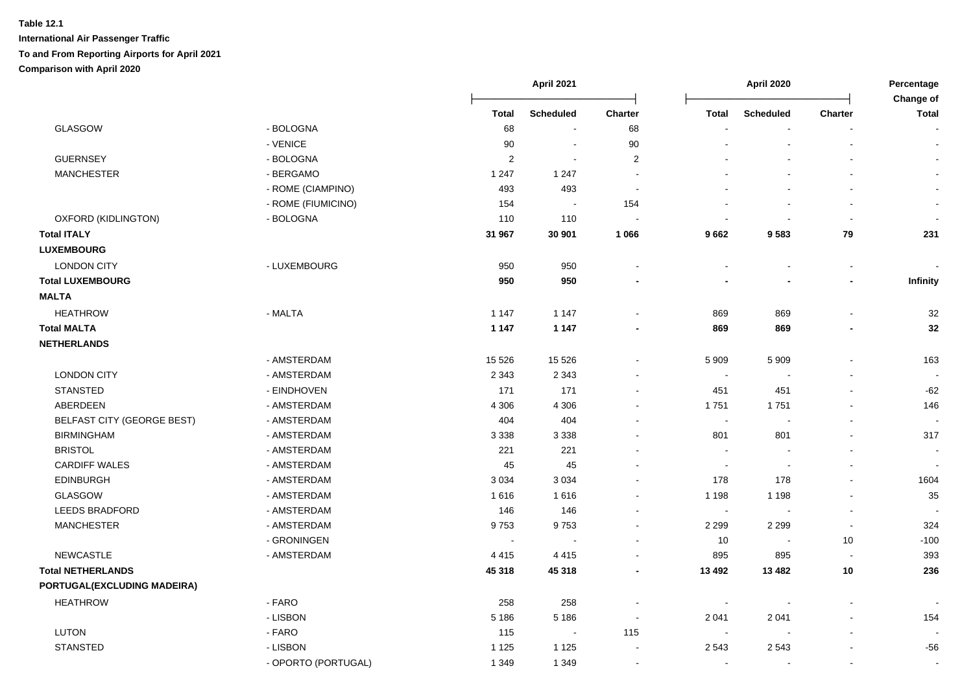|                                   |                     | April 2021     |                  |                          |                          | April 2020       |                          |                           |
|-----------------------------------|---------------------|----------------|------------------|--------------------------|--------------------------|------------------|--------------------------|---------------------------|
|                                   |                     | <b>Total</b>   | <b>Scheduled</b> | Charter                  | <b>Total</b>             | <b>Scheduled</b> | Charter                  | Change of<br><b>Total</b> |
| <b>GLASGOW</b>                    | - BOLOGNA           | 68             |                  | 68                       |                          |                  |                          |                           |
|                                   | - VENICE            | 90             | $\blacksquare$   | $90\,$                   |                          |                  | $\mathbf{r}$             |                           |
| <b>GUERNSEY</b>                   | - BOLOGNA           | $\overline{c}$ | $\sim$           | $\overline{2}$           |                          |                  |                          |                           |
| <b>MANCHESTER</b>                 | - BERGAMO           | 1 2 4 7        | 1 2 4 7          | $\sim$                   |                          |                  | $\mathbf{r}$             | $\sim$                    |
|                                   | - ROME (CIAMPINO)   | 493            | 493              | $\overline{\phantom{a}}$ |                          |                  |                          |                           |
|                                   | - ROME (FIUMICINO)  | 154            | $\sim$           | 154                      |                          |                  | $\blacksquare$           | $\sim$                    |
| OXFORD (KIDLINGTON)               | - BOLOGNA           | 110            | 110              |                          |                          |                  | $\sim$                   |                           |
| <b>Total ITALY</b>                |                     | 31 967         | 30 901           | 1 0 6 6                  | 9662                     | 9583             | 79                       | 231                       |
| <b>LUXEMBOURG</b>                 |                     |                |                  |                          |                          |                  |                          |                           |
| <b>LONDON CITY</b>                | - LUXEMBOURG        | 950            | 950              |                          | $\overline{\phantom{a}}$ | $\sim$           | $\blacksquare$           |                           |
| <b>Total LUXEMBOURG</b>           |                     | 950            | 950              |                          |                          |                  | $\overline{\phantom{a}}$ | Infinity                  |
| <b>MALTA</b>                      |                     |                |                  |                          |                          |                  |                          |                           |
| <b>HEATHROW</b>                   | - MALTA             | 1 1 4 7        | 1 1 4 7          |                          | 869                      | 869              | $\blacksquare$           | 32                        |
| <b>Total MALTA</b>                |                     | 1 1 4 7        | 1 1 4 7          |                          | 869                      | 869              | -                        | 32                        |
| <b>NETHERLANDS</b>                |                     |                |                  |                          |                          |                  |                          |                           |
|                                   | - AMSTERDAM         | 15 5 26        | 15 5 26          |                          | 5 9 0 9                  | 5 9 0 9          | $\overline{a}$           | 163                       |
| <b>LONDON CITY</b>                | - AMSTERDAM         | 2 3 4 3        | 2 3 4 3          |                          | $\overline{\phantom{a}}$ |                  |                          |                           |
| <b>STANSTED</b>                   | - EINDHOVEN         | 171            | 171              |                          | 451                      | 451              |                          | $-62$                     |
| ABERDEEN                          | - AMSTERDAM         | 4 3 0 6        | 4 3 0 6          |                          | 1751                     | 1751             |                          | 146                       |
| <b>BELFAST CITY (GEORGE BEST)</b> | - AMSTERDAM         | 404            | 404              |                          | $\sim$                   |                  | L,                       | $\sim$                    |
| <b>BIRMINGHAM</b>                 | - AMSTERDAM         | 3 3 3 8        | 3 3 3 8          |                          | 801                      | 801              |                          | 317                       |
| <b>BRISTOL</b>                    | - AMSTERDAM         | 221            | 221              |                          | $\sim$                   |                  | $\blacksquare$           | $\sim$                    |
| <b>CARDIFF WALES</b>              | - AMSTERDAM         | 45             | 45               |                          | $\sim$                   |                  |                          |                           |
| <b>EDINBURGH</b>                  | - AMSTERDAM         | 3 0 3 4        | 3 0 3 4          |                          | 178                      | 178              | $\overline{a}$           | 1604                      |
| <b>GLASGOW</b>                    | - AMSTERDAM         | 1616           | 1616             |                          | 1 1 9 8                  | 1 1 9 8          | $\overline{a}$           | 35                        |
| <b>LEEDS BRADFORD</b>             | - AMSTERDAM         | 146            | 146              |                          | $\sim$                   |                  | $\overline{\phantom{a}}$ |                           |
| <b>MANCHESTER</b>                 | - AMSTERDAM         | 9753           | 9753             |                          | 2 2 9 9                  | 2 2 9 9          | $\mathbf{r}$             | 324                       |
|                                   | - GRONINGEN         | $\sim$         |                  | $\sim$                   | 10                       |                  | 10                       | $-100$                    |
| <b>NEWCASTLE</b>                  | - AMSTERDAM         | 4 4 1 5        | 4415             | $\sim$                   | 895                      | 895              | $\overline{\phantom{a}}$ | 393                       |
| <b>Total NETHERLANDS</b>          |                     | 45 318         | 45 318           |                          | 13 4 9 2                 | 13 4 82          | 10                       | 236                       |
| PORTUGAL(EXCLUDING MADEIRA)       |                     |                |                  |                          |                          |                  |                          |                           |
| <b>HEATHROW</b>                   | - FARO              | 258            | 258              |                          |                          |                  | ÷.                       |                           |
|                                   | - LISBON            | 5 1 8 6        | 5 1 8 6          | $\sim$                   | 2 0 4 1                  | 2 0 4 1          |                          | 154                       |
| <b>LUTON</b>                      | - FARO              | 115            | $\sim$           | 115                      | $\blacksquare$           |                  |                          |                           |
| <b>STANSTED</b>                   | - LISBON            | 1 1 2 5        | 1 1 2 5          | $\blacksquare$           | 2 5 4 3                  | 2543             | $\blacksquare$           | -56                       |
|                                   | - OPORTO (PORTUGAL) | 1 3 4 9        | 1 3 4 9          | $\blacksquare$           | $\blacksquare$           |                  | $\mathbf{r}$             | $\sim$                    |
|                                   |                     |                |                  |                          |                          |                  |                          |                           |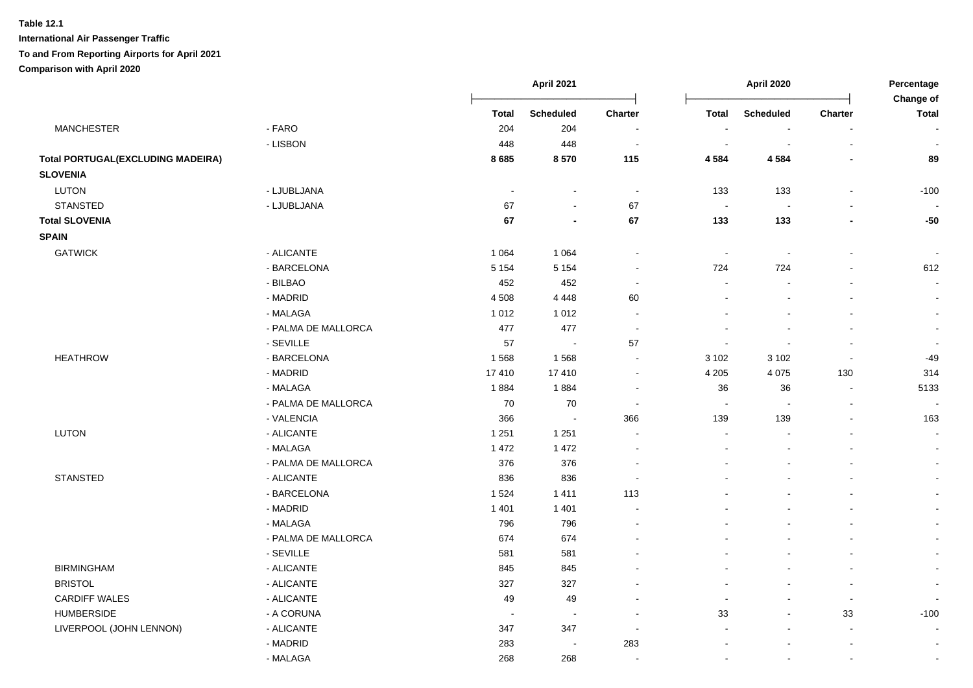# **International Air Passenger Traffic To and From Reporting Airports for April 2021**

**Comparison with April 2020**

|                                          |                     | <b>April 2021</b> |                          |                          |                          | April 2020               |                | Percentage<br>Change of  |  |
|------------------------------------------|---------------------|-------------------|--------------------------|--------------------------|--------------------------|--------------------------|----------------|--------------------------|--|
|                                          |                     | <b>Total</b>      | <b>Scheduled</b>         | Charter                  | <b>Total</b>             | Scheduled                | Charter        | <b>Total</b>             |  |
| <b>MANCHESTER</b>                        | - FARO              | 204               | 204                      | $\overline{\phantom{a}}$ | $\overline{\phantom{a}}$ |                          | L,             | $\sim$                   |  |
|                                          | - LISBON            | 448               | 448                      | $\sim$                   | $\sim$                   |                          | $\overline{a}$ | $\overline{\phantom{a}}$ |  |
| <b>Total PORTUGAL(EXCLUDING MADEIRA)</b> |                     | 8685              | 8570                     | 115                      | 4 5 8 4                  | 4 5 8 4                  |                | 89                       |  |
| <b>SLOVENIA</b>                          |                     |                   |                          |                          |                          |                          |                |                          |  |
| <b>LUTON</b>                             | - LJUBLJANA         | $\sim$            | $\overline{a}$           | $\blacksquare$           | 133                      | 133                      | L,             | $-100$                   |  |
| <b>STANSTED</b>                          | - LJUBLJANA         | 67                | $\overline{a}$           | 67                       | $\sim$                   | $\overline{\phantom{a}}$ |                |                          |  |
| <b>Total SLOVENIA</b>                    |                     | 67                | $\overline{\phantom{a}}$ | 67                       | 133                      | 133                      | $\blacksquare$ | $-50$                    |  |
| <b>SPAIN</b>                             |                     |                   |                          |                          |                          |                          |                |                          |  |
| <b>GATWICK</b>                           | - ALICANTE          | 1 0 6 4           | 1 0 6 4                  | $\overline{\phantom{a}}$ | $\blacksquare$           |                          | $\blacksquare$ | $\overline{\phantom{a}}$ |  |
|                                          | - BARCELONA         | 5 1 5 4           | 5 1 5 4                  | $\sim$                   | 724                      | 724                      | $\blacksquare$ | 612                      |  |
|                                          | - BILBAO            | 452               | 452                      | $\blacksquare$           | $\overline{\phantom{a}}$ |                          | $\blacksquare$ | $\sim$                   |  |
|                                          | - MADRID            | 4 5 0 8           | 4 4 4 8                  | 60                       |                          |                          | $\sim$         | $\sim$                   |  |
|                                          | - MALAGA            | 1 0 1 2           | 1 0 1 2                  | $\sim$                   |                          | $\sim$                   | $\mathbf{r}$   | $\sim$                   |  |
|                                          | - PALMA DE MALLORCA | 477               | 477                      | $\blacksquare$           | $\sim$                   | $\overline{\phantom{a}}$ | $\blacksquare$ | $\sim$                   |  |
|                                          | - SEVILLE           | 57                | $\blacksquare$           | 57                       | $\overline{\phantom{a}}$ |                          | $\overline{a}$ | $\sim$                   |  |
| <b>HEATHROW</b>                          | - BARCELONA         | 1568              | 1568                     | $\blacksquare$           | 3 1 0 2                  | 3 1 0 2                  | $\blacksquare$ | $-49$                    |  |
|                                          | - MADRID            | 17410             | 17410                    | $\sim$                   | 4 2 0 5                  | 4 0 7 5                  | 130            | 314                      |  |
|                                          | - MALAGA            | 1884              | 1884                     | $\sim$                   | 36                       | 36                       | $\blacksquare$ | 5133                     |  |
|                                          | - PALMA DE MALLORCA | 70                | 70                       | $\sim$                   | $\sim$                   | $\sim$                   | $\blacksquare$ |                          |  |
|                                          | - VALENCIA          | 366               | $\blacksquare$           | 366                      | 139                      | 139                      | $\blacksquare$ | 163                      |  |
| LUTON                                    | - ALICANTE          | 1 2 5 1           | 1 2 5 1                  |                          |                          |                          |                | $\sim$                   |  |
|                                          | - MALAGA            | 1 4 7 2           | 1 4 7 2                  |                          |                          |                          |                | $\sim$                   |  |
|                                          | - PALMA DE MALLORCA | 376               | 376                      |                          |                          |                          | L.             | $\sim$                   |  |
| <b>STANSTED</b>                          | - ALICANTE          | 836               | 836                      |                          |                          |                          |                | $\sim$                   |  |
|                                          | - BARCELONA         | 1 5 2 4           | 1411                     | 113                      |                          |                          |                | $\sim$                   |  |
|                                          | - MADRID            | 1 4 0 1           | 1 4 0 1                  |                          |                          |                          | $\overline{a}$ | $\blacksquare$           |  |
|                                          | - MALAGA            | 796               | 796                      |                          |                          |                          | $\blacksquare$ | $\sim$                   |  |
|                                          | - PALMA DE MALLORCA | 674               | 674                      |                          |                          |                          | $\blacksquare$ | $\blacksquare$           |  |
|                                          | - SEVILLE           | 581               | 581                      |                          |                          |                          |                | $\mathbf{r}$             |  |
| <b>BIRMINGHAM</b>                        | - ALICANTE          | 845               | 845                      |                          |                          |                          | ÷.             | $\sim$                   |  |
| <b>BRISTOL</b>                           | - ALICANTE          | 327               | 327                      |                          | $\sim$                   |                          | $\mathbf{r}$   | $\sim$                   |  |
| <b>CARDIFF WALES</b>                     | - ALICANTE          | 49                | 49                       |                          | $\blacksquare$           | $\mathbf{r}$             | $\sim$         | $\sim$                   |  |
| <b>HUMBERSIDE</b>                        | - A CORUNA          | $\sim$            | $\overline{\phantom{a}}$ |                          | 33                       | $\mathbf{r}$             | 33             | $-100$                   |  |
| LIVERPOOL (JOHN LENNON)                  | - ALICANTE          | 347               | 347                      | $\overline{\phantom{a}}$ |                          |                          | $\blacksquare$ | $\blacksquare$           |  |
|                                          | - MADRID            | 283               | $\sim$                   | 283                      |                          |                          |                |                          |  |
|                                          | - MALAGA            | 268               | 268                      |                          | $\sim$                   | $\overline{a}$           | $\sim$         | $\sim$                   |  |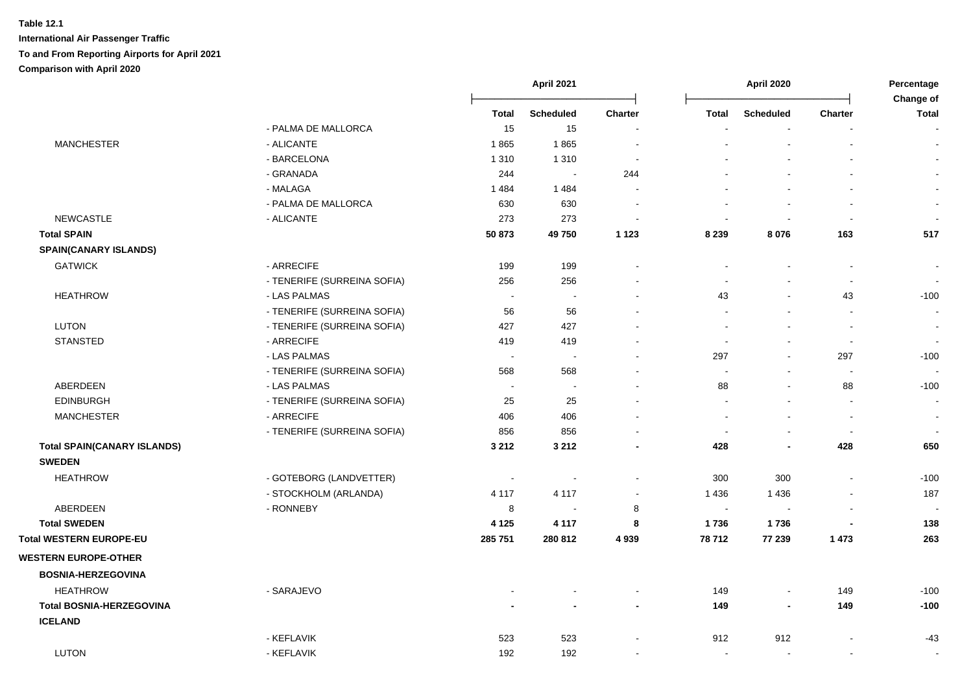|                                    |                             |         | April 2021       |                          |                          | <b>April 2020</b>        |                          |                           |
|------------------------------------|-----------------------------|---------|------------------|--------------------------|--------------------------|--------------------------|--------------------------|---------------------------|
|                                    |                             | Total   | <b>Scheduled</b> | <b>Charter</b>           | Total                    | <b>Scheduled</b>         | Charter                  | Change of<br><b>Total</b> |
|                                    | - PALMA DE MALLORCA         | 15      | 15               |                          |                          |                          |                          |                           |
| <b>MANCHESTER</b>                  | - ALICANTE                  | 1865    | 1865             |                          |                          |                          |                          | $\blacksquare$            |
|                                    | - BARCELONA                 | 1 3 1 0 | 1 3 1 0          | $\overline{\phantom{a}}$ |                          |                          |                          | $\blacksquare$            |
|                                    | - GRANADA                   | 244     | $\sim$           | 244                      |                          |                          |                          | $\blacksquare$            |
|                                    | - MALAGA                    | 1484    | 1 4 8 4          |                          |                          |                          |                          | $\sim$                    |
|                                    | - PALMA DE MALLORCA         | 630     | 630              | ÷,                       | $\overline{\phantom{a}}$ |                          |                          | $\blacksquare$            |
| <b>NEWCASTLE</b>                   | - ALICANTE                  | 273     | 273              | $\sim$                   | $\sim$                   | $\sim$                   | $\sim$                   | $\overline{\phantom{a}}$  |
| <b>Total SPAIN</b>                 |                             | 50 873  | 49750            | 1 1 2 3                  | 8 2 3 9                  | 8 0 7 6                  | 163                      | 517                       |
| <b>SPAIN(CANARY ISLANDS)</b>       |                             |         |                  |                          |                          |                          |                          |                           |
| <b>GATWICK</b>                     | - ARRECIFE                  | 199     | 199              |                          |                          |                          |                          | $\blacksquare$            |
|                                    | - TENERIFE (SURREINA SOFIA) | 256     | 256              | $\blacksquare$           | $\sim$                   | $\sim$                   | $\blacksquare$           | $\blacksquare$            |
| <b>HEATHROW</b>                    | - LAS PALMAS                |         | $\sim$           | $\blacksquare$           | 43                       | $\blacksquare$           | 43                       | $-100$                    |
|                                    | - TENERIFE (SURREINA SOFIA) | 56      | 56               | $\blacksquare$           | $\sim$                   | $\overline{\phantom{a}}$ | $\blacksquare$           | $\blacksquare$            |
| <b>LUTON</b>                       | - TENERIFE (SURREINA SOFIA) | 427     | 427              | $\blacksquare$           | $\sim$                   |                          | $\overline{\phantom{a}}$ | $\sim$                    |
| STANSTED                           | - ARRECIFE                  | 419     | 419              | $\sim$                   | $\overline{\phantom{a}}$ | $\overline{\phantom{a}}$ | $\sim$                   | $\mathbf{r}$              |
|                                    | - LAS PALMAS                |         | $\sim$           |                          | 297                      | $\blacksquare$           | 297                      | $-100$                    |
|                                    | - TENERIFE (SURREINA SOFIA) | 568     | 568              | $\blacksquare$           | $\blacksquare$           |                          | $\blacksquare$           |                           |
| <b>ABERDEEN</b>                    | - LAS PALMAS                |         | $\sim$           | $\mathbf{r}$             | 88                       | $\overline{\phantom{a}}$ | 88                       | $-100$                    |
| <b>EDINBURGH</b>                   | - TENERIFE (SURREINA SOFIA) | 25      | 25               |                          | $\overline{a}$           |                          | $\sim$                   | $\sim$                    |
| <b>MANCHESTER</b>                  | - ARRECIFE                  | 406     | 406              | $\blacksquare$           | $\overline{\phantom{a}}$ |                          | $\overline{\phantom{a}}$ | $\blacksquare$            |
|                                    | - TENERIFE (SURREINA SOFIA) | 856     | 856              |                          | $\overline{\phantom{a}}$ | $\overline{\phantom{a}}$ | $\blacksquare$           |                           |
| <b>Total SPAIN(CANARY ISLANDS)</b> |                             | 3 2 1 2 | 3 2 1 2          | ٠                        | 428                      |                          | 428                      | 650                       |
| <b>SWEDEN</b>                      |                             |         |                  |                          |                          |                          |                          |                           |
| <b>HEATHROW</b>                    | - GOTEBORG (LANDVETTER)     | $\sim$  | $\sim$           |                          | 300                      | 300                      |                          | $-100$                    |
|                                    | - STOCKHOLM (ARLANDA)       | 4 1 1 7 | 4 1 1 7          | $\blacksquare$           | 1 4 3 6                  | 1 4 3 6                  | $\overline{\phantom{a}}$ | 187                       |
| ABERDEEN                           | - RONNEBY                   | 8       |                  | 8                        | $\sim$                   |                          |                          |                           |
| <b>Total SWEDEN</b>                |                             | 4 1 2 5 | 4 1 1 7          | 8                        | 1736                     | 1736                     |                          | 138                       |
| Total WESTERN EUROPE-EU            |                             | 285 751 | 280 812          | 4 9 3 9                  | 78 712                   | 77 239                   | 1 4 7 3                  | 263                       |
| <b>WESTERN EUROPE-OTHER</b>        |                             |         |                  |                          |                          |                          |                          |                           |
| <b>BOSNIA-HERZEGOVINA</b>          |                             |         |                  |                          |                          |                          |                          |                           |
| <b>HEATHROW</b>                    | - SARAJEVO                  |         |                  | $\blacksquare$           | 149                      | $\blacksquare$           | 149                      | $-100$                    |
| <b>Total BOSNIA-HERZEGOVINA</b>    |                             |         |                  | $\overline{\phantom{0}}$ | 149                      | $\overline{\phantom{a}}$ | 149                      | $-100$                    |
| <b>ICELAND</b>                     |                             |         |                  |                          |                          |                          |                          |                           |
|                                    | - KEFLAVIK                  | 523     | 523              |                          | 912                      | 912                      |                          | $-43$                     |
| <b>LUTON</b>                       | - KEFLAVIK                  | 192     | 192              |                          | $\overline{\phantom{a}}$ |                          |                          |                           |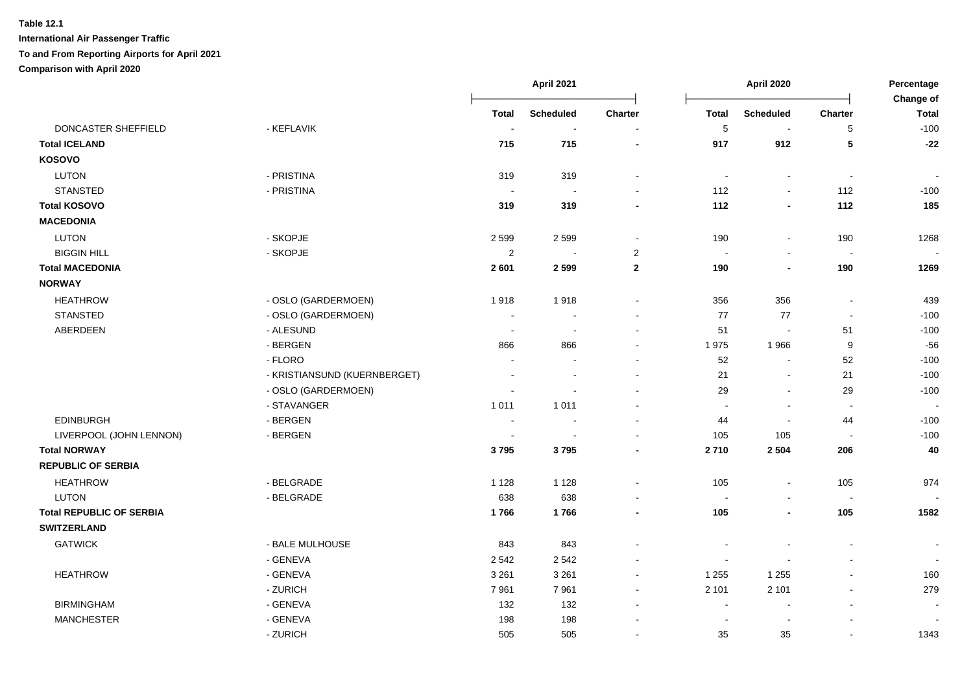|                                 |                              |                | <b>April 2021</b>        |                |                          | April 2020       |                          |                           |
|---------------------------------|------------------------------|----------------|--------------------------|----------------|--------------------------|------------------|--------------------------|---------------------------|
|                                 |                              | <b>Total</b>   | <b>Scheduled</b>         | Charter        | <b>Total</b>             | <b>Scheduled</b> | Charter                  | Change of<br><b>Total</b> |
| DONCASTER SHEFFIELD             | - KEFLAVIK                   | $\sim$         | $\sim$                   | $\blacksquare$ | 5                        | $\sim$           | 5                        | $-100$                    |
| <b>Total ICELAND</b>            |                              | 715            | 715                      | $\blacksquare$ | 917                      | 912              | 5                        | $-22$                     |
| KOSOVO                          |                              |                |                          |                |                          |                  |                          |                           |
| <b>LUTON</b>                    | - PRISTINA                   | 319            | 319                      | $\blacksquare$ | $\overline{\phantom{a}}$ | $\blacksquare$   | $\sim$                   |                           |
| <b>STANSTED</b>                 | - PRISTINA                   | $\sim$         | $\sim$                   | $\sim$         | 112                      | $\blacksquare$   | 112                      | $-100$                    |
| <b>Total KOSOVO</b>             |                              | 319            | 319                      |                | 112                      | $\blacksquare$   | 112                      | 185                       |
| <b>MACEDONIA</b>                |                              |                |                          |                |                          |                  |                          |                           |
| <b>LUTON</b>                    | - SKOPJE                     | 2599           | 2599                     | $\blacksquare$ | 190                      | $\blacksquare$   | 190                      | 1268                      |
| <b>BIGGIN HILL</b>              | - SKOPJE                     | $\overline{2}$ | $\sim$                   | $\overline{2}$ | $\sim$                   | $\blacksquare$   | $\sim$                   | $\blacksquare$            |
| <b>Total MACEDONIA</b>          |                              | 2601           | 2599                     | $\mathbf{2}$   | 190                      | $\blacksquare$   | 190                      | 1269                      |
| <b>NORWAY</b>                   |                              |                |                          |                |                          |                  |                          |                           |
| <b>HEATHROW</b>                 | - OSLO (GARDERMOEN)          | 1918           | 1918                     |                | 356                      | 356              | $\sim$                   | 439                       |
| <b>STANSTED</b>                 | - OSLO (GARDERMOEN)          | $\sim$         | $\overline{\phantom{a}}$ |                | 77                       | $77\,$           | $\sim$                   | $-100$                    |
| ABERDEEN                        | - ALESUND                    | $\sim$         | $\overline{a}$           | $\sim$         | 51                       | $\sim$           | 51                       | $-100$                    |
|                                 | - BERGEN                     | 866            | 866                      |                | 1975                     | 1966             | 9                        | $-56$                     |
|                                 | - FLORO                      |                |                          |                | 52                       | $\blacksquare$   | 52                       | $-100$                    |
|                                 | - KRISTIANSUND (KUERNBERGET) |                |                          |                | 21                       | $\sim$           | 21                       | $-100$                    |
|                                 | - OSLO (GARDERMOEN)          | $\overline{a}$ | $\overline{a}$           |                | 29                       | $\sim$           | 29                       | $-100$                    |
|                                 | - STAVANGER                  | 1 0 1 1        | 1 0 1 1                  |                | $\overline{\phantom{a}}$ |                  | $\sim$                   |                           |
| <b>EDINBURGH</b>                | - BERGEN                     | $\sim$         | $\overline{a}$           |                | 44                       | $\blacksquare$   | 44                       | $-100$                    |
| LIVERPOOL (JOHN LENNON)         | - BERGEN                     | $\sim$         | $\overline{\phantom{a}}$ |                | 105                      | 105              | $\overline{\phantom{a}}$ | $-100$                    |
| <b>Total NORWAY</b>             |                              | 3795           | 3795                     |                | 2710                     | 2 5 0 4          | 206                      | 40                        |
| <b>REPUBLIC OF SERBIA</b>       |                              |                |                          |                |                          |                  |                          |                           |
| <b>HEATHROW</b>                 | - BELGRADE                   | 1 1 2 8        | 1 1 2 8                  | $\sim$         | 105                      | $\blacksquare$   | 105                      | 974                       |
| <b>LUTON</b>                    | - BELGRADE                   | 638            | 638                      |                | $\sim$                   |                  | $\sim$                   |                           |
| <b>Total REPUBLIC OF SERBIA</b> |                              | 1766           | 1766                     | $\blacksquare$ | 105                      | $\blacksquare$   | 105                      | 1582                      |
| <b>SWITZERLAND</b>              |                              |                |                          |                |                          |                  |                          |                           |
| <b>GATWICK</b>                  | - BALE MULHOUSE              | 843            | 843                      |                |                          |                  |                          | $\overline{\phantom{a}}$  |
|                                 | - GENEVA                     | 2 5 4 2        | 2542                     | $\sim$         | $\overline{\phantom{a}}$ |                  |                          | $\sim$                    |
| <b>HEATHROW</b>                 | - GENEVA                     | 3 2 6 1        | 3 2 6 1                  | $\sim$         | 1 2 5 5                  | 1 2 5 5          |                          | 160                       |
|                                 | - ZURICH                     | 7961           | 7961                     | $\blacksquare$ | 2 1 0 1                  | 2 1 0 1          | $\sim$                   | 279                       |
| <b>BIRMINGHAM</b>               | - GENEVA                     | 132            | 132                      |                | $\ddot{\phantom{0}}$     |                  |                          |                           |
| <b>MANCHESTER</b>               | - GENEVA                     | 198            | 198                      |                | $\overline{\phantom{a}}$ | $\blacksquare$   |                          |                           |
|                                 | - ZURICH                     | 505            | 505                      |                | 35                       | 35               |                          | 1343                      |
|                                 |                              |                |                          |                |                          |                  |                          |                           |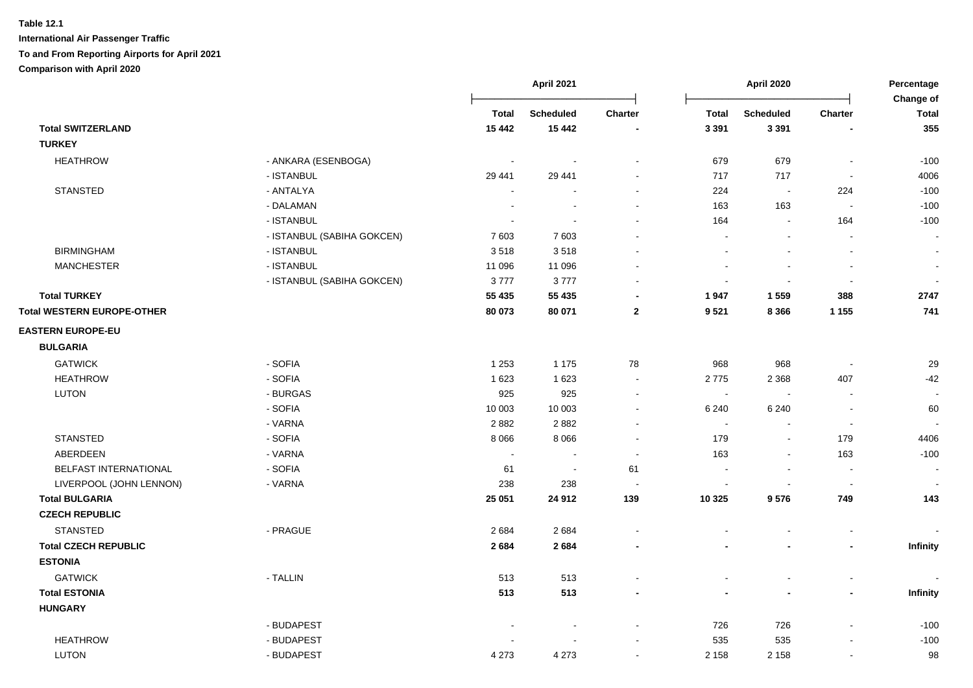|                                   |                            | <b>April 2021</b>        |                          |                | April 2020     |                          |                          | Percentage<br>Change of |  |
|-----------------------------------|----------------------------|--------------------------|--------------------------|----------------|----------------|--------------------------|--------------------------|-------------------------|--|
|                                   |                            | <b>Total</b>             | <b>Scheduled</b>         | <b>Charter</b> | <b>Total</b>   | <b>Scheduled</b>         | <b>Charter</b>           | <b>Total</b>            |  |
| <b>Total SWITZERLAND</b>          |                            | 15 4 42                  | 15 4 42                  |                | 3 3 9 1        | 3 3 9 1                  |                          | 355                     |  |
| <b>TURKEY</b>                     |                            |                          |                          |                |                |                          |                          |                         |  |
| <b>HEATHROW</b>                   | - ANKARA (ESENBOGA)        | $\overline{\phantom{a}}$ |                          |                | 679            | 679                      |                          | $-100$                  |  |
|                                   | - ISTANBUL                 | 29 441                   | 29 441                   |                | 717            | 717                      |                          | 4006                    |  |
| <b>STANSTED</b>                   | - ANTALYA                  |                          |                          |                | 224            |                          | 224                      | $-100$                  |  |
|                                   | - DALAMAN                  |                          |                          |                | 163            | 163                      | $\overline{\phantom{a}}$ | $-100$                  |  |
|                                   | - ISTANBUL                 |                          |                          |                | 164            | $\sim$                   | 164                      | $-100$                  |  |
|                                   | - ISTANBUL (SABIHA GOKCEN) | 7603                     | 7603                     |                | $\sim$         | $\sim$                   | $\blacksquare$           | $\blacksquare$          |  |
| <b>BIRMINGHAM</b>                 | - ISTANBUL                 | 3518                     | 3518                     |                |                | $\overline{\phantom{a}}$ | $\overline{\phantom{a}}$ | $\blacksquare$          |  |
| <b>MANCHESTER</b>                 | - ISTANBUL                 | 11 096                   | 11 096                   |                |                |                          | $\overline{\phantom{a}}$ | $\blacksquare$          |  |
|                                   | - ISTANBUL (SABIHA GOKCEN) | 3777                     | 3777                     |                |                |                          | $\overline{\phantom{a}}$ |                         |  |
| <b>Total TURKEY</b>               |                            | 55 435                   | 55 435                   | $\blacksquare$ | 1947           | 1 5 5 9                  | 388                      | 2747                    |  |
| <b>Total WESTERN EUROPE-OTHER</b> |                            | 80 073                   | 80 071                   | $\mathbf{2}$   | 9521           | 8 3 6 6                  | 1 1 5 5                  | 741                     |  |
| <b>EASTERN EUROPE-EU</b>          |                            |                          |                          |                |                |                          |                          |                         |  |
| <b>BULGARIA</b>                   |                            |                          |                          |                |                |                          |                          |                         |  |
| <b>GATWICK</b>                    | - SOFIA                    | 1 2 5 3                  | 1 1 7 5                  | 78             | 968            | 968                      | $\overline{\phantom{a}}$ | 29                      |  |
| <b>HEATHROW</b>                   | - SOFIA                    | 1 6 2 3                  | 1 6 2 3                  |                | 2775           | 2 3 6 8                  | 407                      | $-42$                   |  |
| <b>LUTON</b>                      | - BURGAS                   | 925                      | 925                      |                | $\blacksquare$ |                          |                          | $\sim$                  |  |
|                                   | - SOFIA                    | 10 003                   | 10 003                   |                | 6 2 4 0        | 6 2 4 0                  |                          | 60                      |  |
|                                   | - VARNA                    | 2882                     | 2882                     |                | $\sim$         |                          | $\blacksquare$           |                         |  |
| <b>STANSTED</b>                   | - SOFIA                    | 8 0 6 6                  | 8 0 6 6                  | $\sim$         | 179            | $\overline{\phantom{a}}$ | 179                      | 4406                    |  |
| ABERDEEN                          | - VARNA                    | $\overline{\phantom{a}}$ | $\overline{\phantom{a}}$ | $\sim$         | 163            | $\sim$                   | 163                      | $-100$                  |  |
| BELFAST INTERNATIONAL             | - SOFIA                    | 61                       | $\sim$                   | 61             | $\sim$         | $\blacksquare$           | $\sim$                   | $\blacksquare$          |  |
| LIVERPOOL (JOHN LENNON)           | - VARNA                    | 238                      | 238                      |                |                |                          | $\blacksquare$           |                         |  |
| <b>Total BULGARIA</b>             |                            | 25 051                   | 24 912                   | 139            | 10 325         | 9576                     | 749                      | 143                     |  |
| <b>CZECH REPUBLIC</b>             |                            |                          |                          |                |                |                          |                          |                         |  |
| <b>STANSTED</b>                   | - PRAGUE                   | 2684                     | 2684                     |                |                |                          |                          |                         |  |
| <b>Total CZECH REPUBLIC</b>       |                            | 2684                     | 2684                     |                |                |                          | $\blacksquare$           | Infinity                |  |
| <b>ESTONIA</b>                    |                            |                          |                          |                |                |                          |                          |                         |  |
| <b>GATWICK</b>                    | - TALLIN                   | 513                      | 513                      |                |                |                          | $\overline{\phantom{a}}$ |                         |  |
| <b>Total ESTONIA</b>              |                            | 513                      | 513                      |                |                |                          | $\blacksquare$           | Infinity                |  |
| <b>HUNGARY</b>                    |                            |                          |                          |                |                |                          |                          |                         |  |
|                                   | - BUDAPEST                 |                          |                          |                | 726            | 726                      | L,                       | $-100$                  |  |
| <b>HEATHROW</b>                   | - BUDAPEST                 |                          |                          |                | 535            | 535                      |                          | $-100$                  |  |
| <b>LUTON</b>                      | - BUDAPEST                 | 4 2 7 3                  | 4 2 7 3                  |                | 2 1 5 8        | 2 1 5 8                  | $\blacksquare$           | 98                      |  |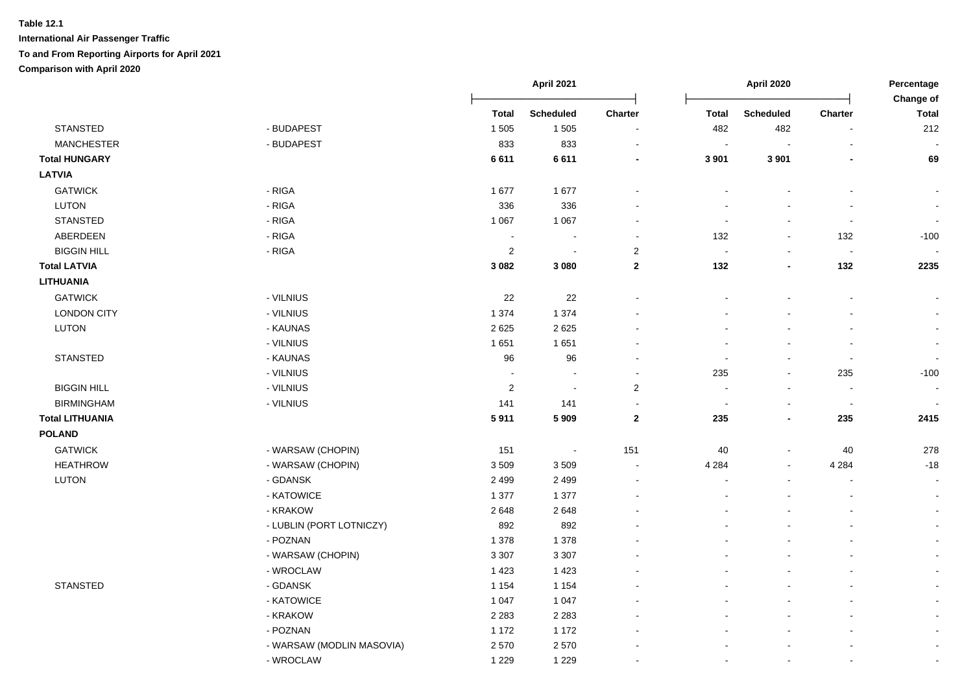|                        |                           |                | April 2021       |                          | <b>April 2020</b>        |                          |                          | Percentage<br>Change of  |
|------------------------|---------------------------|----------------|------------------|--------------------------|--------------------------|--------------------------|--------------------------|--------------------------|
|                        |                           | <b>Total</b>   | <b>Scheduled</b> | Charter                  | <b>Total</b>             | <b>Scheduled</b>         | Charter                  | <b>Total</b>             |
| <b>STANSTED</b>        | - BUDAPEST                | 1 5 0 5        | 1 5 0 5          | $\overline{\phantom{a}}$ | 482                      | 482                      | $\blacksquare$           | 212                      |
| <b>MANCHESTER</b>      | - BUDAPEST                | 833            | 833              |                          | $\sim$                   | $\sim$                   | $\blacksquare$           |                          |
| <b>Total HUNGARY</b>   |                           | 6611           | 6611             |                          | 3 9 0 1                  | 3 9 0 1                  |                          | 69                       |
| <b>LATVIA</b>          |                           |                |                  |                          |                          |                          |                          |                          |
| <b>GATWICK</b>         | - RIGA                    | 1677           | 1677             |                          |                          |                          |                          |                          |
| <b>LUTON</b>           | - RIGA                    | 336            | 336              |                          |                          |                          |                          | $\blacksquare$           |
| <b>STANSTED</b>        | - RIGA                    | 1 0 6 7        | 1 0 6 7          |                          |                          |                          | $\overline{\phantom{a}}$ |                          |
| ABERDEEN               | - RIGA                    | $\sim$         | $\sim$           |                          | 132                      | $\sim$                   | 132                      | $-100$                   |
| <b>BIGGIN HILL</b>     | - RIGA                    | $\overline{2}$ | $\blacksquare$   | $\overline{2}$           | $\overline{\phantom{a}}$ | $\blacksquare$           | $\sim$                   |                          |
| <b>Total LATVIA</b>    |                           | 3 0 8 2        | 3 0 8 0          | $\mathbf 2$              | 132                      | $\overline{\phantom{a}}$ | 132                      | 2235                     |
| <b>LITHUANIA</b>       |                           |                |                  |                          |                          |                          |                          |                          |
| <b>GATWICK</b>         | - VILNIUS                 | 22             | 22               |                          |                          |                          |                          |                          |
| <b>LONDON CITY</b>     | - VILNIUS                 | 1 3 7 4        | 1 3 7 4          |                          |                          |                          |                          |                          |
| LUTON                  | - KAUNAS                  | 2625           | 2625             |                          |                          |                          |                          |                          |
|                        | - VILNIUS                 | 1651           | 1651             |                          |                          |                          |                          |                          |
| <b>STANSTED</b>        | - KAUNAS                  | 96             | 96               |                          |                          |                          |                          | $\sim$                   |
|                        | - VILNIUS                 | $\blacksquare$ | $\blacksquare$   |                          | 235                      | $\sim$                   | 235                      | $-100$                   |
| <b>BIGGIN HILL</b>     | - VILNIUS                 | $\overline{2}$ | $\blacksquare$   | $\overline{c}$           | $\overline{\phantom{a}}$ | $\overline{\phantom{a}}$ | $\blacksquare$           |                          |
| <b>BIRMINGHAM</b>      | - VILNIUS                 | 141            | 141              | $\sim$                   | $\sim$                   | $\overline{\phantom{a}}$ | $\sim$                   |                          |
| <b>Total LITHUANIA</b> |                           | 5911           | 5 9 0 9          | $\mathbf{2}$             | 235                      | $\overline{\phantom{a}}$ | 235                      | 2415                     |
| <b>POLAND</b>          |                           |                |                  |                          |                          |                          |                          |                          |
| <b>GATWICK</b>         | - WARSAW (CHOPIN)         | 151            | $\sim$           | 151                      | 40                       | $\blacksquare$           | 40                       | 278                      |
| <b>HEATHROW</b>        | - WARSAW (CHOPIN)         | 3509           | 3509             | $\overline{\phantom{a}}$ | 4 2 8 4                  | $\blacksquare$           | 4 2 8 4                  | $-18$                    |
| LUTON                  | - GDANSK                  | 2 4 9 9        | 2 4 9 9          | $\overline{\phantom{a}}$ |                          |                          | $\blacksquare$           | $\overline{\phantom{a}}$ |
|                        | - KATOWICE                | 1 377          | 1 377            |                          |                          |                          |                          | $\blacksquare$           |
|                        | - KRAKOW                  | 2648           | 2648             |                          |                          |                          |                          | $\blacksquare$           |
|                        | - LUBLIN (PORT LOTNICZY)  | 892            | 892              |                          |                          |                          |                          |                          |
|                        | - POZNAN                  | 1 3 7 8        | 1 3 7 8          |                          |                          |                          |                          | $\blacksquare$           |
|                        | - WARSAW (CHOPIN)         | 3 3 0 7        | 3 3 0 7          |                          |                          |                          |                          | $\overline{\phantom{a}}$ |
|                        | - WROCLAW                 | 1 4 2 3        | 1 4 2 3          |                          |                          |                          |                          | $\blacksquare$           |
| <b>STANSTED</b>        | - GDANSK                  | 1 1 5 4        | 1 1 5 4          |                          |                          |                          |                          | $\blacksquare$           |
|                        | - KATOWICE                | 1 0 4 7        | 1 0 4 7          |                          |                          |                          |                          | $\blacksquare$           |
|                        | - KRAKOW                  | 2 2 8 3        | 2 2 8 3          |                          |                          |                          |                          | $\blacksquare$           |
|                        | - POZNAN                  | 1 1 7 2        | 1 1 7 2          |                          |                          |                          |                          |                          |
|                        | - WARSAW (MODLIN MASOVIA) | 2570           | 2570             |                          |                          |                          |                          | $\blacksquare$           |
|                        | - WROCLAW                 | 1 2 2 9        | 1 2 2 9          |                          |                          |                          |                          |                          |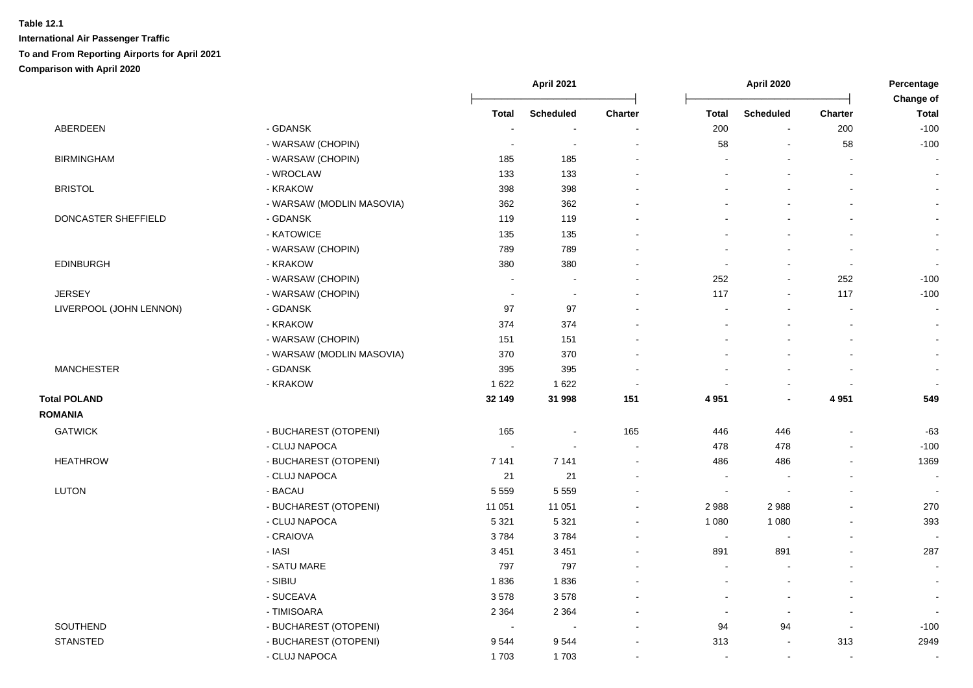|                         |                           | April 2021               |                          |                          |                          | <b>April 2020</b>        |                          |                           |
|-------------------------|---------------------------|--------------------------|--------------------------|--------------------------|--------------------------|--------------------------|--------------------------|---------------------------|
|                         |                           | <b>Total</b>             | <b>Scheduled</b>         | Charter                  | <b>Total</b>             | <b>Scheduled</b>         | <b>Charter</b>           | Change of<br><b>Total</b> |
| ABERDEEN                | - GDANSK                  |                          |                          |                          | 200                      | $\overline{\phantom{a}}$ | 200                      | $-100$                    |
|                         | - WARSAW (CHOPIN)         | $\sim$                   | $\sim$                   | ÷.                       | 58                       |                          | 58                       | $-100$                    |
| <b>BIRMINGHAM</b>       | - WARSAW (CHOPIN)         | 185                      | 185                      | $\overline{\phantom{a}}$ |                          |                          |                          | $\overline{a}$            |
|                         | - WROCLAW                 | 133                      | 133                      | $\sim$                   |                          |                          |                          | $\blacksquare$            |
| <b>BRISTOL</b>          | - KRAKOW                  | 398                      | 398                      |                          |                          |                          |                          | $\blacksquare$            |
|                         | - WARSAW (MODLIN MASOVIA) | 362                      | 362                      |                          |                          |                          |                          | $\blacksquare$            |
| DONCASTER SHEFFIELD     | - GDANSK                  | 119                      | 119                      |                          |                          |                          |                          | $\blacksquare$            |
|                         | - KATOWICE                | 135                      | 135                      |                          |                          |                          |                          | $\blacksquare$            |
|                         | - WARSAW (CHOPIN)         | 789                      | 789                      |                          |                          |                          |                          | $\overline{\phantom{a}}$  |
| <b>EDINBURGH</b>        | - KRAKOW                  | 380                      | 380                      |                          |                          |                          | $\overline{\phantom{a}}$ | $\blacksquare$            |
|                         | - WARSAW (CHOPIN)         | $\overline{\phantom{a}}$ | $\overline{\phantom{a}}$ | $\overline{\phantom{a}}$ | 252                      |                          | 252                      | $-100$                    |
| <b>JERSEY</b>           | - WARSAW (CHOPIN)         | $\sim$                   | $\overline{\phantom{a}}$ |                          | 117                      |                          | 117                      | $-100$                    |
| LIVERPOOL (JOHN LENNON) | - GDANSK                  | 97                       | 97                       |                          |                          |                          |                          | $\blacksquare$            |
|                         | - KRAKOW                  | 374                      | 374                      |                          |                          |                          |                          | $\mathbf{r}$              |
|                         | - WARSAW (CHOPIN)         | 151                      | 151                      |                          |                          |                          |                          | $\blacksquare$            |
|                         | - WARSAW (MODLIN MASOVIA) | 370                      | 370                      | $\sim$                   |                          |                          |                          | $\mathbf{r}$              |
| <b>MANCHESTER</b>       | - GDANSK                  | 395                      | 395                      | $\sim$                   |                          |                          |                          |                           |
|                         | - KRAKOW                  | 1 6 2 2                  | 1 6 2 2                  | $\sim$                   |                          |                          |                          |                           |
| <b>Total POLAND</b>     |                           | 32 149                   | 31 998                   | 151                      | 4 9 5 1                  |                          | 4 9 5 1                  | 549                       |
| <b>ROMANIA</b>          |                           |                          |                          |                          |                          |                          |                          |                           |
| <b>GATWICK</b>          | - BUCHAREST (OTOPENI)     | 165                      | $\sim$                   | 165                      | 446                      | 446                      |                          | $-63$                     |
|                         | - CLUJ NAPOCA             | $\sim$                   | ÷                        | $\blacksquare$           | 478                      | 478                      |                          | $-100$                    |
| <b>HEATHROW</b>         | - BUCHAREST (OTOPENI)     | 7 1 4 1                  | 7 1 4 1                  | $\overline{\phantom{a}}$ | 486                      | 486                      |                          | 1369                      |
|                         | - CLUJ NAPOCA             | 21                       | 21                       |                          | $\overline{\phantom{a}}$ |                          |                          | $\sim$                    |
| <b>LUTON</b>            | - BACAU                   | 5 5 5 9                  | 5 5 5 9                  |                          | $\overline{\phantom{a}}$ |                          |                          | $\blacksquare$            |
|                         | - BUCHAREST (OTOPENI)     | 11 051                   | 11 051                   | $\overline{\phantom{a}}$ | 2988                     | 2988                     |                          | 270                       |
|                         | - CLUJ NAPOCA             | 5 3 2 1                  | 5 3 2 1                  | $\sim$                   | 1 0 8 0                  | 1 0 8 0                  |                          | 393                       |
|                         | - CRAIOVA                 | 3784                     | 3784                     |                          | $\overline{\phantom{a}}$ |                          |                          | $\overline{\phantom{a}}$  |
|                         | - IASI                    | 3 4 5 1                  | 3 4 5 1                  |                          | 891                      | 891                      |                          | 287                       |
|                         | - SATU MARE               | 797                      | 797                      |                          |                          |                          |                          | $\sim$                    |
|                         | - SIBIU                   | 1836                     | 1836                     |                          |                          |                          |                          | $\blacksquare$            |
|                         | - SUCEAVA                 | 3578                     | 3578                     |                          |                          |                          |                          | $\overline{\phantom{a}}$  |
|                         | - TIMISOARA               | 2 3 6 4                  | 2 3 6 4                  | $\sim$                   |                          |                          |                          |                           |
| SOUTHEND                | - BUCHAREST (OTOPENI)     | $\sim$                   | $\sim$                   | $\overline{\phantom{a}}$ | 94                       | 94                       | $\blacksquare$           | $-100$                    |
| <b>STANSTED</b>         | - BUCHAREST (OTOPENI)     | 9544                     | 9544                     |                          | 313                      |                          | 313                      | 2949                      |
|                         | - CLUJ NAPOCA             | 1703                     | 1703                     | $\sim$                   | $\sim$                   | $\overline{\phantom{a}}$ | $\overline{\phantom{a}}$ | $\blacksquare$            |
|                         |                           |                          |                          |                          |                          |                          |                          |                           |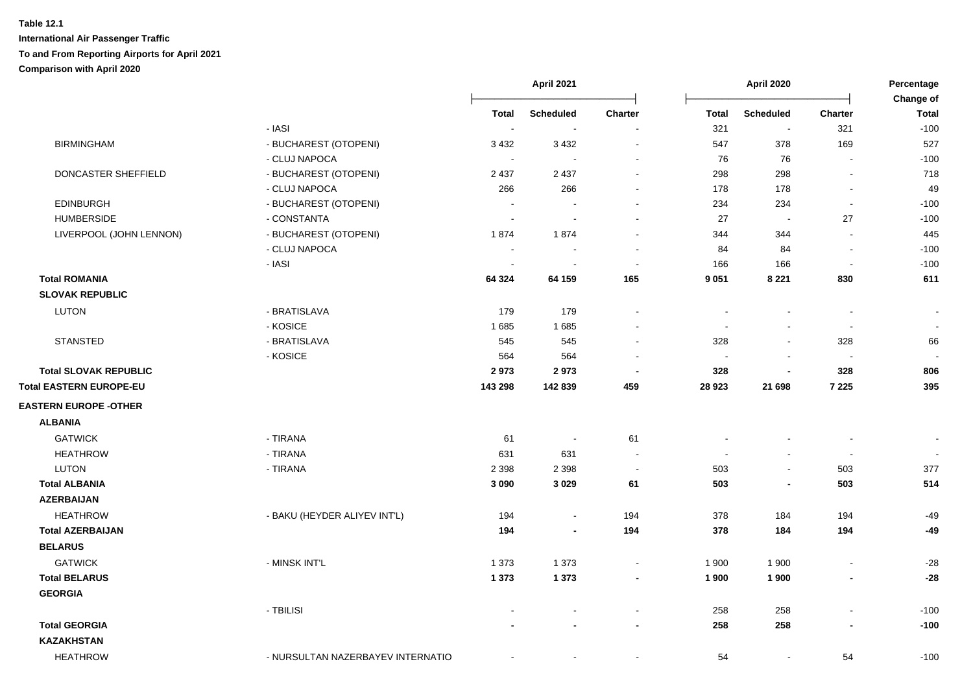|                                |                                   | <b>April 2021</b>        |                  |                          | April 2020   |                          |                          | Percentage<br>Change of |  |
|--------------------------------|-----------------------------------|--------------------------|------------------|--------------------------|--------------|--------------------------|--------------------------|-------------------------|--|
|                                |                                   | Total                    | <b>Scheduled</b> | Charter                  | <b>Total</b> | <b>Scheduled</b>         | <b>Charter</b>           | <b>Total</b>            |  |
|                                | - IASI                            | $\sim$                   |                  |                          | 321          | $\overline{\phantom{a}}$ | 321                      | $-100$                  |  |
| <b>BIRMINGHAM</b>              | - BUCHAREST (OTOPENI)             | 3 4 3 2                  | 3 4 3 2          |                          | 547          | 378                      | 169                      | 527                     |  |
|                                | - CLUJ NAPOCA                     | $\sim$                   |                  |                          | 76           | 76                       | $\sim$                   | $-100$                  |  |
| DONCASTER SHEFFIELD            | - BUCHAREST (OTOPENI)             | 2 4 3 7                  | 2 4 3 7          |                          | 298          | 298                      | $\blacksquare$           | 718                     |  |
|                                | - CLUJ NAPOCA                     | 266                      | 266              | $\blacksquare$           | 178          | 178                      | $\blacksquare$           | 49                      |  |
| <b>EDINBURGH</b>               | - BUCHAREST (OTOPENI)             | $\overline{\phantom{a}}$ |                  | $\sim$                   | 234          | 234                      | $\blacksquare$           | $-100$                  |  |
| <b>HUMBERSIDE</b>              | - CONSTANTA                       | $\sim$                   |                  |                          | 27           |                          | 27                       | $-100$                  |  |
| LIVERPOOL (JOHN LENNON)        | - BUCHAREST (OTOPENI)             | 1874                     | 1874             |                          | 344          | 344                      | $\overline{a}$           | 445                     |  |
|                                | - CLUJ NAPOCA                     |                          |                  |                          | 84           | 84                       | $\blacksquare$           | $-100$                  |  |
|                                | - IASI                            | $\sim$                   |                  | $\overline{\phantom{a}}$ | 166          | 166                      | $\overline{\phantom{a}}$ | $-100$                  |  |
| <b>Total ROMANIA</b>           |                                   | 64 324                   | 64 159           | 165                      | 9 0 5 1      | 8 2 2 1                  | 830                      | 611                     |  |
| <b>SLOVAK REPUBLIC</b>         |                                   |                          |                  |                          |              |                          |                          |                         |  |
| <b>LUTON</b>                   | - BRATISLAVA                      | 179                      | 179              | $\blacksquare$           | $\sim$       | $\sim$                   | $\blacksquare$           | $\blacksquare$          |  |
|                                | - KOSICE                          | 1685                     | 1685             |                          |              |                          | $\overline{\phantom{a}}$ |                         |  |
| <b>STANSTED</b>                | - BRATISLAVA                      | 545                      | 545              |                          | 328          |                          | 328                      | 66                      |  |
|                                | - KOSICE                          | 564                      | 564              |                          |              |                          |                          |                         |  |
| <b>Total SLOVAK REPUBLIC</b>   |                                   | 2973                     | 2973             | $\overline{\phantom{a}}$ | 328          |                          | 328                      | 806                     |  |
| <b>Total EASTERN EUROPE-EU</b> |                                   | 143 298                  | 142 839          | 459                      | 28 9 23      | 21 698                   | 7 2 2 5                  | 395                     |  |
| <b>EASTERN EUROPE -OTHER</b>   |                                   |                          |                  |                          |              |                          |                          |                         |  |
| <b>ALBANIA</b>                 |                                   |                          |                  |                          |              |                          |                          |                         |  |
| <b>GATWICK</b>                 | - TIRANA                          | 61                       | $\sim$           | 61                       |              |                          | $\blacksquare$           | $\blacksquare$          |  |
| <b>HEATHROW</b>                | - TIRANA                          | 631                      | 631              | $\sim$                   |              |                          | $\overline{\phantom{a}}$ | $\bullet$               |  |
| <b>LUTON</b>                   | - TIRANA                          | 2 3 9 8                  | 2 3 9 8          | $\blacksquare$           | 503          | $\sim$                   | 503                      | 377                     |  |
| <b>Total ALBANIA</b>           |                                   | 3 0 9 0                  | 3 0 2 9          | 61                       | 503          | $\overline{\phantom{a}}$ | 503                      | 514                     |  |
| <b>AZERBAIJAN</b>              |                                   |                          |                  |                          |              |                          |                          |                         |  |
| <b>HEATHROW</b>                | - BAKU (HEYDER ALIYEV INT'L)      | 194                      | $\blacksquare$   | 194                      | 378          | 184                      | 194                      | $-49$                   |  |
| <b>Total AZERBAIJAN</b>        |                                   | 194                      | ٠                | 194                      | 378          | 184                      | 194                      | $-49$                   |  |
| <b>BELARUS</b>                 |                                   |                          |                  |                          |              |                          |                          |                         |  |
| <b>GATWICK</b>                 | - MINSK INT'L                     | 1 3 7 3                  | 1 3 7 3          | $\sim$                   | 1 900        | 1 900                    | $\blacksquare$           | $-28$                   |  |
| <b>Total BELARUS</b>           |                                   | 1 3 7 3                  | 1 3 7 3          | $\blacksquare$           | 1 900        | 1 900                    | $\overline{\phantom{a}}$ | $-28$                   |  |
| <b>GEORGIA</b>                 |                                   |                          |                  |                          |              |                          |                          |                         |  |
|                                | - TBILISI                         |                          |                  | $\blacksquare$           | 258          | 258                      | $\overline{a}$           | $-100$                  |  |
| <b>Total GEORGIA</b>           |                                   |                          |                  | $\blacksquare$           | 258          | 258                      | $\blacksquare$           | $-100$                  |  |
| <b>KAZAKHSTAN</b>              |                                   |                          |                  |                          |              |                          |                          |                         |  |
| <b>HEATHROW</b>                | - NURSULTAN NAZERBAYEV INTERNATIO | $\blacksquare$           | $\blacksquare$   |                          | 54           | $\sim$                   | 54                       | $-100$                  |  |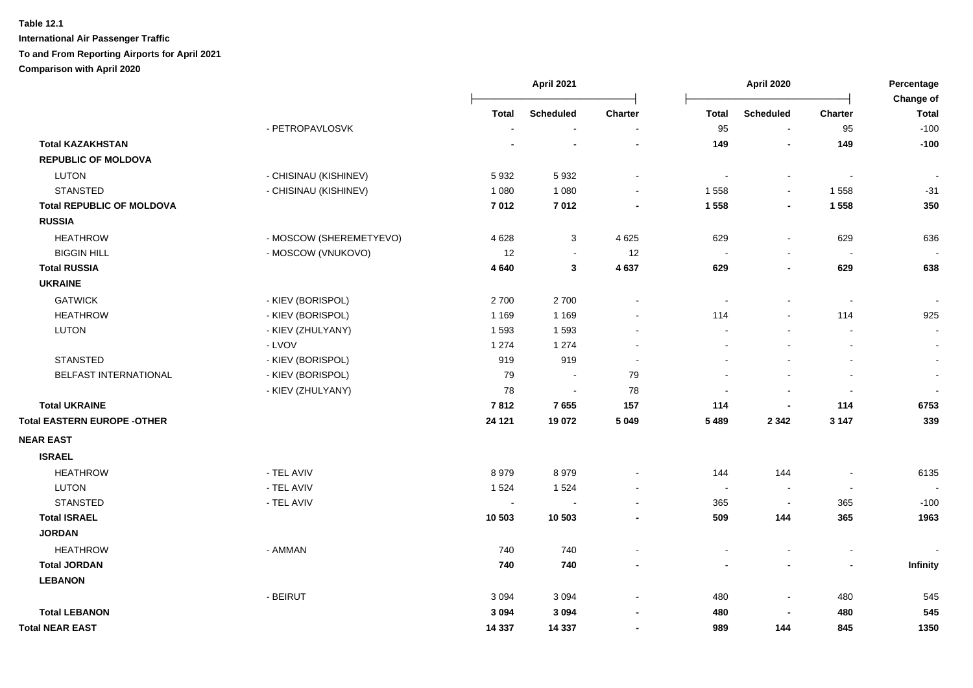|                                    |                         | April 2021   |                  |                | <b>April 2020</b>        |                  |                          |                           |
|------------------------------------|-------------------------|--------------|------------------|----------------|--------------------------|------------------|--------------------------|---------------------------|
|                                    |                         | <b>Total</b> | <b>Scheduled</b> | <b>Charter</b> | <b>Total</b>             | <b>Scheduled</b> | <b>Charter</b>           | Change of<br><b>Total</b> |
|                                    | - PETROPAVLOSVK         |              |                  | $\blacksquare$ | 95                       | $\sim$           | 95                       | $-100$                    |
| <b>Total KAZAKHSTAN</b>            |                         |              |                  | $\blacksquare$ | 149                      | $\blacksquare$   | 149                      | $-100$                    |
| <b>REPUBLIC OF MOLDOVA</b>         |                         |              |                  |                |                          |                  |                          |                           |
| <b>LUTON</b>                       | - CHISINAU (KISHINEV)   | 5932         | 5932             | $\sim$         | $\sim$                   | $\sim$           | $\sim$                   | $\overline{\phantom{a}}$  |
| <b>STANSTED</b>                    | - CHISINAU (KISHINEV)   | 1 0 8 0      | 1 0 8 0          |                | 1 5 5 8                  | $\sim$           | 1558                     | $-31$                     |
| <b>Total REPUBLIC OF MOLDOVA</b>   |                         | 7012         | 7012             |                | 1 5 5 8                  | $\blacksquare$   | 1 5 5 8                  | 350                       |
| <b>RUSSIA</b>                      |                         |              |                  |                |                          |                  |                          |                           |
| <b>HEATHROW</b>                    | - MOSCOW (SHEREMETYEVO) | 4 6 28       | 3                | 4 6 2 5        | 629                      | $\blacksquare$   | 629                      | 636                       |
| <b>BIGGIN HILL</b>                 | - MOSCOW (VNUKOVO)      | 12           | $\sim$           | 12             | $\sim$                   |                  | $\overline{\phantom{a}}$ |                           |
| <b>Total RUSSIA</b>                |                         | 4 6 4 0      | 3                | 4 6 3 7        | 629                      | $\blacksquare$   | 629                      | 638                       |
| <b>UKRAINE</b>                     |                         |              |                  |                |                          |                  |                          |                           |
| <b>GATWICK</b>                     | - KIEV (BORISPOL)       | 2700         | 2700             |                | $\overline{\phantom{a}}$ |                  | $\sim$                   |                           |
| <b>HEATHROW</b>                    | - KIEV (BORISPOL)       | 1 1 6 9      | 1 1 6 9          | $\sim$         | 114                      | $\sim$           | 114                      | 925                       |
| <b>LUTON</b>                       | - KIEV (ZHULYANY)       | 1593         | 1593             | $\blacksquare$ |                          | $\blacksquare$   | $\blacksquare$           | $\sim$                    |
|                                    | - LVOV                  | 1 2 7 4      | 1 2 7 4          | $\sim$         |                          |                  | $\blacksquare$           | $\sim$                    |
| <b>STANSTED</b>                    | - KIEV (BORISPOL)       | 919          | 919              | $\sim$         |                          |                  | $\blacksquare$           | $\sim$                    |
| BELFAST INTERNATIONAL              | - KIEV (BORISPOL)       | 79           | $\sim$           | 79             |                          |                  | $\blacksquare$           | $\sim$                    |
|                                    | - KIEV (ZHULYANY)       | 78           | $\sim$           | 78             | $\sim$                   | $\mathbf{r}$     | $\overline{\phantom{a}}$ | $\sim$                    |
| <b>Total UKRAINE</b>               |                         | 7812         | 7655             | 157            | 114                      | $\overline{a}$   | 114                      | 6753                      |
| <b>Total EASTERN EUROPE -OTHER</b> |                         | 24 1 21      | 19 072           | 5 0 4 9        | 5 4 8 9                  | 2 3 4 2          | 3 1 4 7                  | 339                       |
| <b>NEAR EAST</b>                   |                         |              |                  |                |                          |                  |                          |                           |
| <b>ISRAEL</b>                      |                         |              |                  |                |                          |                  |                          |                           |
| <b>HEATHROW</b>                    | - TEL AVIV              | 8979         | 8979             |                | 144                      | 144              | $\ddot{\phantom{a}}$     | 6135                      |
| <b>LUTON</b>                       | - TEL AVIV              | 1 5 2 4      | 1 5 2 4          |                | $\sim$                   |                  | $\sim$                   |                           |
| <b>STANSTED</b>                    | - TEL AVIV              | $\sim$       |                  |                | 365                      |                  | 365                      | $-100$                    |
| <b>Total ISRAEL</b>                |                         | 10 503       | 10 503           |                | 509                      | 144              | 365                      | 1963                      |
| <b>JORDAN</b>                      |                         |              |                  |                |                          |                  |                          |                           |
| <b>HEATHROW</b>                    | - AMMAN                 | 740          | 740              |                |                          |                  | $\blacksquare$           |                           |
| <b>Total JORDAN</b>                |                         | 740          | 740              | $\blacksquare$ |                          | $\blacksquare$   | $\blacksquare$           | Infinity                  |
| <b>LEBANON</b>                     |                         |              |                  |                |                          |                  |                          |                           |
|                                    | - BEIRUT                | 3 0 9 4      | 3 0 9 4          |                | 480                      | $\blacksquare$   | 480                      | 545                       |
| <b>Total LEBANON</b>               |                         | 3 0 9 4      | 3 0 9 4          |                | 480                      |                  | 480                      | 545                       |
| <b>Total NEAR EAST</b>             |                         | 14 3 37      | 14 337           | $\blacksquare$ | 989                      | 144              | 845                      | 1350                      |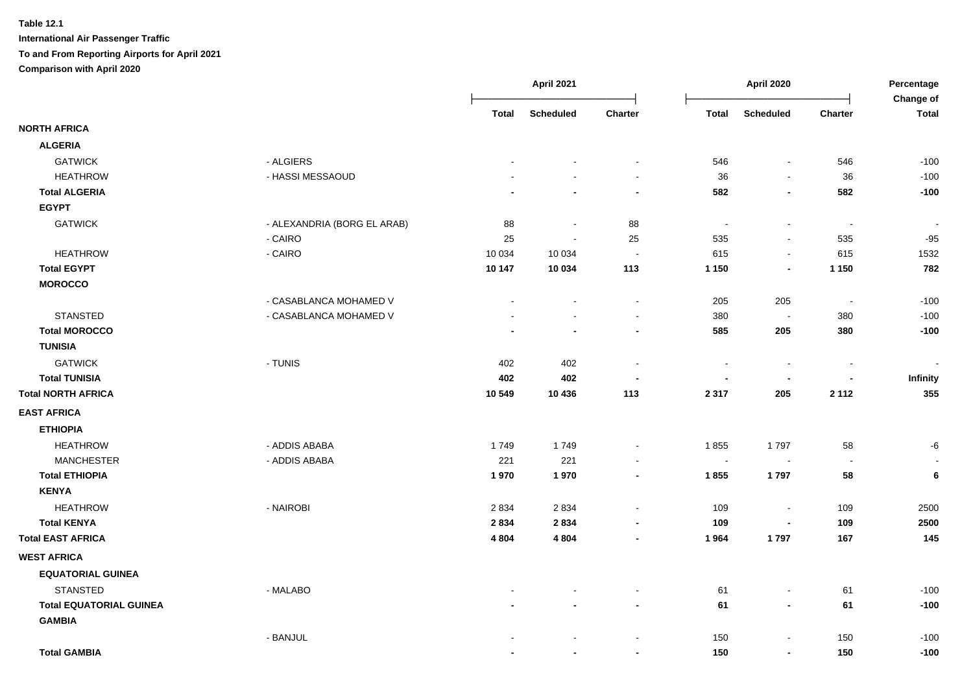|                                                 |                             |         | <b>April 2021</b> |                                            | <b>April 2020</b> |                                            |                          | Percentage<br><b>Change of</b> |  |
|-------------------------------------------------|-----------------------------|---------|-------------------|--------------------------------------------|-------------------|--------------------------------------------|--------------------------|--------------------------------|--|
|                                                 |                             | Total   | <b>Scheduled</b>  | Charter                                    | <b>Total</b>      | <b>Scheduled</b>                           | <b>Charter</b>           | <b>Total</b>                   |  |
| <b>NORTH AFRICA</b>                             |                             |         |                   |                                            |                   |                                            |                          |                                |  |
| <b>ALGERIA</b>                                  |                             |         |                   |                                            |                   |                                            |                          |                                |  |
| <b>GATWICK</b>                                  | - ALGIERS                   |         |                   | $\sim$                                     | 546               | $\blacksquare$                             | 546                      | $-100$                         |  |
| <b>HEATHROW</b>                                 | - HASSI MESSAOUD            |         |                   | $\sim$                                     | 36                | $\blacksquare$                             | 36                       | $-100$                         |  |
| <b>Total ALGERIA</b>                            |                             |         |                   | $\blacksquare$                             | 582               | $\blacksquare$                             | 582                      | $-100$                         |  |
| <b>EGYPT</b>                                    |                             |         |                   |                                            |                   |                                            |                          |                                |  |
| <b>GATWICK</b>                                  | - ALEXANDRIA (BORG EL ARAB) | 88      | $\sim$            | 88                                         | $\blacksquare$    | $\overline{\phantom{a}}$                   | $\blacksquare$           | $\sim$                         |  |
|                                                 | - CAIRO                     | 25      | $\sim$            | 25                                         | 535               | $\blacksquare$                             | 535                      | $-95$                          |  |
| <b>HEATHROW</b>                                 | - CAIRO                     | 10 0 34 | 10 0 34           | $\sim$                                     | 615               | $\blacksquare$                             | 615                      | 1532                           |  |
| <b>Total EGYPT</b>                              |                             | 10 147  | 10 034            | 113                                        | 1 1 5 0           | $\blacksquare$                             | 1 1 5 0                  | 782                            |  |
| <b>MOROCCO</b>                                  |                             |         |                   |                                            |                   |                                            |                          |                                |  |
|                                                 | - CASABLANCA MOHAMED V      |         |                   | $\blacksquare$                             | 205               | 205                                        | $\blacksquare$           | $-100$                         |  |
| <b>STANSTED</b>                                 | - CASABLANCA MOHAMED V      |         |                   | $\sim$                                     | 380               | $\sim$                                     | 380                      | $-100$                         |  |
| <b>Total MOROCCO</b>                            |                             |         |                   | $\blacksquare$                             | 585               | 205                                        | 380                      | $-100$                         |  |
| <b>TUNISIA</b>                                  |                             |         |                   |                                            |                   |                                            |                          |                                |  |
| <b>GATWICK</b>                                  | - TUNIS                     | 402     | 402               | $\sim$                                     |                   | $\blacksquare$                             | $\blacksquare$           | $\blacksquare$                 |  |
| <b>Total TUNISIA</b>                            |                             | 402     | 402               | $\overline{\phantom{a}}$                   |                   | $\blacksquare$                             | $\blacksquare$           | <b>Infinity</b>                |  |
| <b>Total NORTH AFRICA</b>                       |                             | 10 549  | 10 436            | 113                                        | 2 3 1 7           | 205                                        | 2 1 1 2                  | 355                            |  |
| <b>EAST AFRICA</b>                              |                             |         |                   |                                            |                   |                                            |                          |                                |  |
| <b>ETHIOPIA</b>                                 |                             |         |                   |                                            |                   |                                            |                          |                                |  |
| <b>HEATHROW</b>                                 | - ADDIS ABABA               | 1749    | 1749              | $\sim$                                     | 1855              | 1797                                       | 58                       | -6                             |  |
| <b>MANCHESTER</b>                               | - ADDIS ABABA               | 221     | 221               |                                            | $\sim$            |                                            | $\overline{\phantom{a}}$ |                                |  |
| <b>Total ETHIOPIA</b>                           |                             | 1970    | 1970              |                                            | 1855              | 1797                                       | 58                       | 6                              |  |
| <b>KENYA</b>                                    |                             |         |                   |                                            |                   |                                            |                          |                                |  |
| <b>HEATHROW</b>                                 | - NAIROBI                   | 2834    | 2834              | $\sim$                                     | 109               | $\sim$                                     | 109                      | 2500                           |  |
| <b>Total KENYA</b>                              |                             | 2834    | 2834              |                                            | 109               | $\overline{\phantom{a}}$                   | 109                      | 2500                           |  |
| <b>Total EAST AFRICA</b>                        |                             | 4 8 0 4 | 4 8 0 4           |                                            | 1964              | 1797                                       | 167                      | 145                            |  |
| <b>WEST AFRICA</b>                              |                             |         |                   |                                            |                   |                                            |                          |                                |  |
| <b>EQUATORIAL GUINEA</b>                        |                             |         |                   |                                            |                   |                                            |                          |                                |  |
|                                                 |                             |         |                   |                                            |                   |                                            |                          |                                |  |
| <b>STANSTED</b>                                 | - MALABO                    |         |                   | $\blacksquare$<br>$\overline{\phantom{a}}$ | 61<br>61          | $\blacksquare$<br>$\blacksquare$           | 61                       | $-100$<br>$-100$               |  |
| <b>Total EQUATORIAL GUINEA</b><br><b>GAMBIA</b> |                             |         |                   |                                            |                   |                                            | 61                       |                                |  |
|                                                 |                             |         |                   |                                            |                   |                                            |                          |                                |  |
| <b>Total GAMBIA</b>                             | - BANJUL                    |         |                   |                                            | 150<br>150        | $\blacksquare$<br>$\overline{\phantom{a}}$ | 150<br>150               | $-100$<br>$-100$               |  |
|                                                 |                             |         |                   |                                            |                   |                                            |                          |                                |  |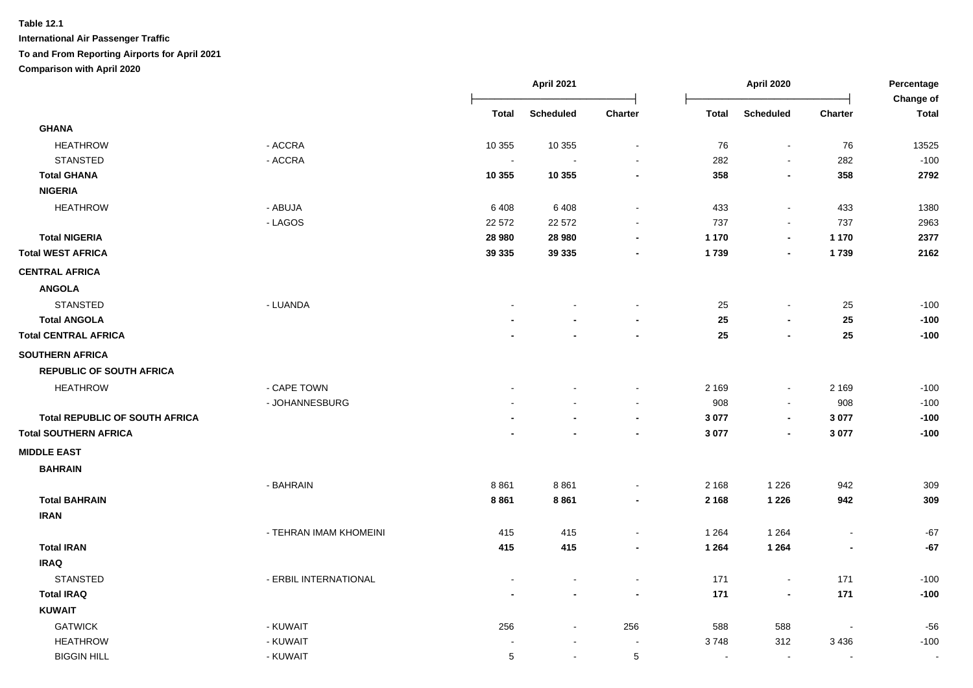|                                       |                        |                | April 2021       |                 | April 2020               |                          | Percentage<br>Change of  |              |
|---------------------------------------|------------------------|----------------|------------------|-----------------|--------------------------|--------------------------|--------------------------|--------------|
|                                       |                        | <b>Total</b>   | <b>Scheduled</b> | Charter         | <b>Total</b>             | <b>Scheduled</b>         | Charter                  | <b>Total</b> |
| <b>GHANA</b>                          |                        |                |                  |                 |                          |                          |                          |              |
| <b>HEATHROW</b>                       | - ACCRA                | 10 355         | 10 355           | $\blacksquare$  | 76                       | $\blacksquare$           | 76                       | 13525        |
| <b>STANSTED</b>                       | - ACCRA                | $\blacksquare$ |                  |                 | 282                      |                          | 282                      | $-100$       |
| <b>Total GHANA</b>                    |                        | 10 355         | 10 355           |                 | 358                      | $\blacksquare$           | 358                      | 2792         |
| <b>NIGERIA</b>                        |                        |                |                  |                 |                          |                          |                          |              |
| <b>HEATHROW</b>                       | - ABUJA                | 6408           | 6408             |                 | 433                      | $\sim$                   | 433                      | 1380         |
|                                       | - LAGOS                | 22 572         | 22 572           |                 | 737                      | $\overline{\phantom{a}}$ | 737                      | 2963         |
| <b>Total NIGERIA</b>                  |                        | 28 980         | 28 980           |                 | 1 1 7 0                  | $\blacksquare$           | 1 1 7 0                  | 2377         |
| <b>Total WEST AFRICA</b>              |                        | 39 335         | 39 335           |                 | 1739                     | $\blacksquare$           | 1739                     | 2162         |
| <b>CENTRAL AFRICA</b>                 |                        |                |                  |                 |                          |                          |                          |              |
| <b>ANGOLA</b>                         |                        |                |                  |                 |                          |                          |                          |              |
| <b>STANSTED</b>                       | - LUANDA               |                |                  |                 | 25                       | $\overline{\phantom{a}}$ | 25                       | $-100$       |
| <b>Total ANGOLA</b>                   |                        |                |                  |                 | 25                       | $\blacksquare$           | 25                       | $-100$       |
| <b>Total CENTRAL AFRICA</b>           |                        |                |                  |                 | 25                       | $\overline{\phantom{a}}$ | 25                       | $-100$       |
| <b>SOUTHERN AFRICA</b>                |                        |                |                  |                 |                          |                          |                          |              |
| <b>REPUBLIC OF SOUTH AFRICA</b>       |                        |                |                  |                 |                          |                          |                          |              |
| <b>HEATHROW</b>                       | - CAPE TOWN            |                |                  |                 | 2 1 6 9                  | $\sim$                   | 2 1 6 9                  | $-100$       |
|                                       | - JOHANNESBURG         |                |                  |                 | 908                      |                          | 908                      | $-100$       |
| <b>Total REPUBLIC OF SOUTH AFRICA</b> |                        |                |                  |                 | 3 0 7 7                  | $\blacksquare$           | 3 0 7 7                  | $-100$       |
| <b>Total SOUTHERN AFRICA</b>          |                        |                |                  |                 | 3 0 7 7                  |                          | 3 0 7 7                  | $-100$       |
| <b>MIDDLE EAST</b>                    |                        |                |                  |                 |                          |                          |                          |              |
| <b>BAHRAIN</b>                        |                        |                |                  |                 |                          |                          |                          |              |
|                                       | - BAHRAIN              | 8861           | 8861             |                 | 2 1 6 8                  | 1 2 2 6                  | 942                      | 309          |
| <b>Total BAHRAIN</b>                  |                        | 8861           | 8861             | $\blacksquare$  | 2 1 6 8                  | 1 2 2 6                  | 942                      | 309          |
| <b>IRAN</b>                           |                        |                |                  |                 |                          |                          |                          |              |
|                                       | - TEHRAN IMAM KHOMEINI | 415            | 415              |                 | 1 2 6 4                  | 1 2 6 4                  | $\blacksquare$           | $-67$        |
| <b>Total IRAN</b>                     |                        | 415            | 415              | $\blacksquare$  | 1 2 6 4                  | 1 2 6 4                  | $\blacksquare$           | $-67$        |
| <b>IRAQ</b>                           |                        |                |                  |                 |                          |                          |                          |              |
| <b>STANSTED</b>                       | - ERBIL INTERNATIONAL  |                |                  |                 | 171                      | $\blacksquare$           | 171                      | $-100$       |
| <b>Total IRAQ</b>                     |                        |                |                  | $\blacksquare$  | 171                      | $\blacksquare$           | 171                      | $-100$       |
| <b>KUWAIT</b>                         |                        |                |                  |                 |                          |                          |                          |              |
| <b>GATWICK</b>                        | - KUWAIT               | 256            | $\blacksquare$   | 256             | 588                      | 588                      | $\overline{\phantom{a}}$ | $-56$        |
| <b>HEATHROW</b>                       | - KUWAIT               |                | $\blacksquare$   | $\blacksquare$  | 3748                     | 312                      | 3 4 3 6                  | $-100$       |
| <b>BIGGIN HILL</b>                    | - KUWAIT               | 5              | $\blacksquare$   | $5\phantom{.0}$ | $\overline{\phantom{a}}$ | $\blacksquare$           | $\blacksquare$           | $\sim$       |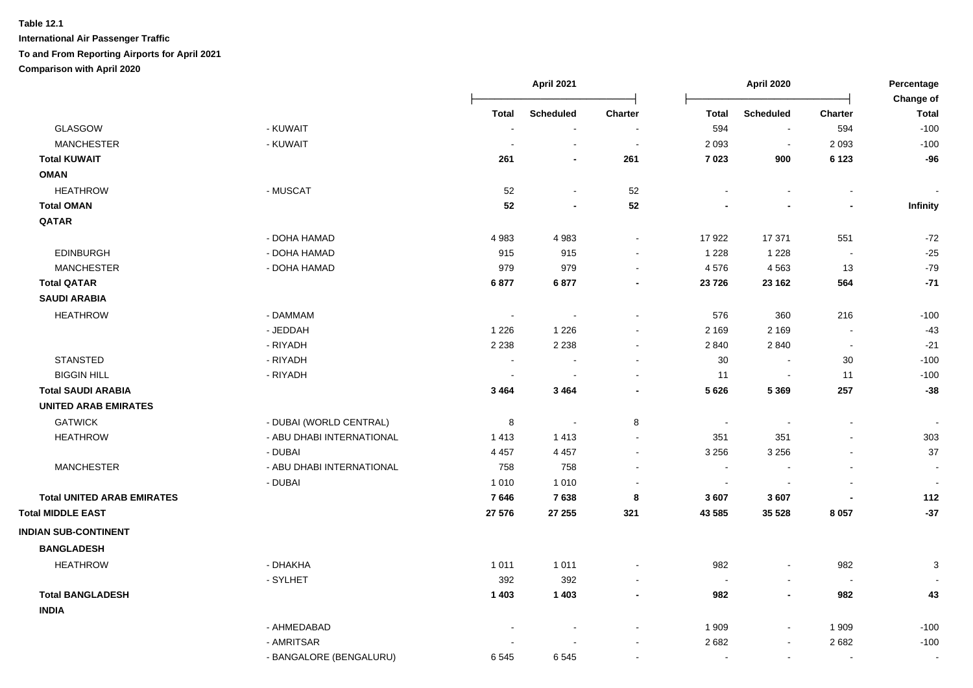|                                   |                           |                    | April 2021         |                          | April 2020         |                          | Percentage               |                           |
|-----------------------------------|---------------------------|--------------------|--------------------|--------------------------|--------------------|--------------------------|--------------------------|---------------------------|
|                                   |                           | Total              | <b>Scheduled</b>   | Charter                  | <b>Total</b>       | <b>Scheduled</b>         | <b>Charter</b>           | Change of<br><b>Total</b> |
| <b>GLASGOW</b>                    | - KUWAIT                  |                    | $\sim$             | $\sim$                   | 594                | $\blacksquare$           | 594                      | $-100$                    |
| <b>MANCHESTER</b>                 | - KUWAIT                  |                    |                    | $\sim$                   | 2 0 9 3            | $\blacksquare$           | 2 0 9 3                  | $-100$                    |
| <b>Total KUWAIT</b>               |                           | 261                |                    | 261                      | 7 0 23             | 900                      | 6 1 2 3                  | $-96$                     |
| <b>OMAN</b>                       |                           |                    |                    |                          |                    |                          |                          |                           |
| <b>HEATHROW</b>                   | - MUSCAT                  | 52                 | $\sim$             | 52                       |                    |                          | $\blacksquare$           |                           |
| <b>Total OMAN</b>                 |                           | 52                 |                    | 52                       |                    |                          | $\blacksquare$           | Infinity                  |
| QATAR                             |                           |                    |                    |                          |                    |                          |                          |                           |
|                                   | - DOHA HAMAD              | 4983               | 4983               | $\blacksquare$           | 17922              | 17 371                   | 551                      | $-72$                     |
| <b>EDINBURGH</b>                  | - DOHA HAMAD              | 915                | 915                | $\sim$                   | 1 2 2 8            | 1 2 2 8                  | $\blacksquare$           | $-25$                     |
| <b>MANCHESTER</b>                 | - DOHA HAMAD              | 979                | 979                | $\sim$                   | 4576               | 4563                     | 13                       | $-79$                     |
| <b>Total QATAR</b>                |                           | 6877               | 6877               | $\blacksquare$           | 23 7 26            | 23 162                   | 564                      | $-71$                     |
| <b>SAUDI ARABIA</b>               |                           |                    |                    |                          |                    |                          |                          |                           |
| <b>HEATHROW</b>                   | - DAMMAM                  | $\sim$             |                    | $\overline{\phantom{a}}$ | 576                |                          | 216                      | $-100$                    |
|                                   | - JEDDAH                  |                    |                    | $\sim$                   |                    | 360<br>2 1 6 9           | $\sim$                   | $-43$                     |
|                                   | - RIYADH                  | 1 2 2 6<br>2 2 3 8 | 1 2 2 6<br>2 2 3 8 | $\blacksquare$           | 2 1 6 9<br>2 8 4 0 | 2840                     | $\overline{\phantom{a}}$ | $-21$                     |
| <b>STANSTED</b>                   | - RIYADH                  |                    |                    | $\sim$                   | 30                 | $\blacksquare$           | 30                       | $-100$                    |
| <b>BIGGIN HILL</b>                | - RIYADH                  |                    |                    | $\sim$                   | 11                 | $\sim$                   | 11                       | $-100$                    |
| <b>Total SAUDI ARABIA</b>         |                           | 3 4 6 4            | 3 4 6 4            | $\blacksquare$           | 5626               | 5 3 6 9                  | 257                      | $-38$                     |
| <b>UNITED ARAB EMIRATES</b>       |                           |                    |                    |                          |                    |                          |                          |                           |
| <b>GATWICK</b>                    | - DUBAI (WORLD CENTRAL)   |                    | $\sim$             |                          | $\sim$             | $\blacksquare$           | $\blacksquare$           | $\overline{\phantom{a}}$  |
| <b>HEATHROW</b>                   | - ABU DHABI INTERNATIONAL | 8<br>1413          | 1 4 1 3            | 8<br>$\blacksquare$      | 351                | 351                      |                          | 303                       |
|                                   | - DUBAI                   | 4 4 5 7            | 4 4 5 7            | $\blacksquare$           | 3 2 5 6            | 3 2 5 6                  | $\blacksquare$           | 37                        |
| <b>MANCHESTER</b>                 | - ABU DHABI INTERNATIONAL | 758                | 758                | $\sim$                   | $\sim$             | $\overline{\phantom{a}}$ | $\blacksquare$           | $\sim$                    |
|                                   | - DUBAI                   | 1 0 1 0            | 1 0 1 0            | $\sim$                   | $\sim$             |                          |                          |                           |
| <b>Total UNITED ARAB EMIRATES</b> |                           | 7646               | 7638               | 8                        | 3607               | 3 607                    |                          | 112                       |
| <b>Total MIDDLE EAST</b>          |                           | 27 576             | 27 255             | 321                      | 43 585             | 35 5 28                  | 8 0 5 7                  | $-37$                     |
|                                   |                           |                    |                    |                          |                    |                          |                          |                           |
| <b>INDIAN SUB-CONTINENT</b>       |                           |                    |                    |                          |                    |                          |                          |                           |
| <b>BANGLADESH</b>                 |                           |                    |                    |                          |                    |                          |                          |                           |
| <b>HEATHROW</b>                   | - DHAKHA                  | 1 0 1 1            | 1011               | $\blacksquare$           | 982                | $\blacksquare$           | 982                      | 3                         |
|                                   | - SYLHET                  | 392                | 392                | $\blacksquare$           | $\blacksquare$     | $\sim$                   | $\blacksquare$           |                           |
| <b>Total BANGLADESH</b>           |                           | 1 4 0 3            | 1 4 0 3            | $\overline{\phantom{a}}$ | 982                | $\overline{\phantom{a}}$ | 982                      | 43                        |
| <b>INDIA</b>                      |                           |                    |                    |                          |                    |                          |                          |                           |
|                                   | - AHMEDABAD               |                    |                    | $\sim$                   | 1 9 0 9            | $\sim$                   | 1 9 0 9                  | $-100$                    |
|                                   | - AMRITSAR                |                    |                    | $\sim$                   | 2682               | $\sim$                   | 2682                     | $-100$                    |
|                                   | - BANGALORE (BENGALURU)   | 6545               | 6545               | $\blacksquare$           |                    | $\sim$                   | $\sim$                   | $\overline{\phantom{a}}$  |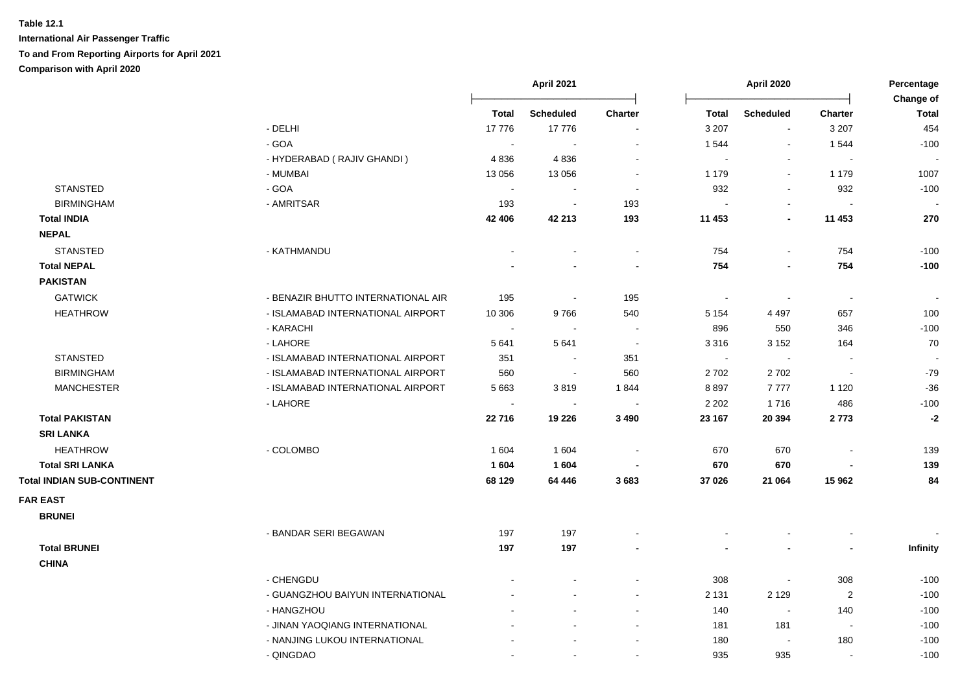|                                   |                                    |                          | April 2021<br>April 2020 |                          |                          | Percentage<br>Change of  |                          |                |
|-----------------------------------|------------------------------------|--------------------------|--------------------------|--------------------------|--------------------------|--------------------------|--------------------------|----------------|
|                                   |                                    | <b>Total</b>             | <b>Scheduled</b>         | <b>Charter</b>           | <b>Total</b>             | <b>Scheduled</b>         | <b>Charter</b>           | <b>Total</b>   |
|                                   | - DELHI                            | 17776                    | 17776                    | $\blacksquare$           | 3 2 0 7                  | $\blacksquare$           | 3 2 0 7                  | 454            |
|                                   | - GOA                              |                          |                          |                          | 1 544                    | $\blacksquare$           | 1544                     | $-100$         |
|                                   | - HYDERABAD (RAJIV GHANDI)         | 4836                     | 4836                     |                          |                          | $\blacksquare$           |                          |                |
|                                   | - MUMBAI                           | 13 0 56                  | 13 0 56                  | $\sim$                   | 1 1 7 9                  | $\blacksquare$           | 1 1 7 9                  | 1007           |
| <b>STANSTED</b>                   | $-GOA$                             | $\overline{\phantom{a}}$ |                          | $\overline{\phantom{a}}$ | 932                      | $\blacksquare$           | 932                      | $-100$         |
| <b>BIRMINGHAM</b>                 | - AMRITSAR                         | 193                      | $\overline{\phantom{a}}$ | 193                      |                          | $\sim$                   | $\overline{\phantom{a}}$ |                |
| <b>Total INDIA</b>                |                                    | 42 406                   | 42 213                   | 193                      | 11 453                   | $\overline{\phantom{a}}$ | 11 453                   | 270            |
| <b>NEPAL</b>                      |                                    |                          |                          |                          |                          |                          |                          |                |
| <b>STANSTED</b>                   | - KATHMANDU                        |                          |                          | $\blacksquare$           | 754                      | $\blacksquare$           | 754                      | $-100$         |
| <b>Total NEPAL</b>                |                                    |                          |                          | $\blacksquare$           | 754                      | $\blacksquare$           | 754                      | $-100$         |
| <b>PAKISTAN</b>                   |                                    |                          |                          |                          |                          |                          |                          |                |
| <b>GATWICK</b>                    | - BENAZIR BHUTTO INTERNATIONAL AIR | 195                      | $\overline{\phantom{a}}$ | 195                      | $\overline{\phantom{a}}$ | $\overline{\phantom{a}}$ | $\sim$                   | $\blacksquare$ |
| <b>HEATHROW</b>                   | - ISLAMABAD INTERNATIONAL AIRPORT  | 10 306                   | 9766                     | 540                      | 5 1 5 4                  | 4 4 9 7                  | 657                      | 100            |
|                                   | - KARACHI                          | $\overline{\phantom{a}}$ | $\sim$                   | $\sim$                   | 896                      | 550                      | 346                      | $-100$         |
|                                   | - LAHORE                           | 5 6 4 1                  | 5 6 4 1                  | $\sim$                   | 3 3 1 6                  | 3 1 5 2                  | 164                      | 70             |
| <b>STANSTED</b>                   | - ISLAMABAD INTERNATIONAL AIRPORT  | 351                      | $\sim$                   | 351                      | $\sim$                   | $\blacksquare$           | $\overline{\phantom{a}}$ |                |
| <b>BIRMINGHAM</b>                 | - ISLAMABAD INTERNATIONAL AIRPORT  | 560                      | $\sim$                   | 560                      | 2 7 0 2                  | 2702                     | $\blacksquare$           | $-79$          |
| <b>MANCHESTER</b>                 | - ISLAMABAD INTERNATIONAL AIRPORT  | 5 6 6 3                  | 3819                     | 1844                     | 8897                     | 7777                     | 1 1 2 0                  | $-36$          |
|                                   | - LAHORE                           |                          | $\blacksquare$           |                          | 2 2 0 2                  | 1716                     | 486                      | $-100$         |
| <b>Total PAKISTAN</b>             |                                    | 22716                    | 19 2 26                  | 3 4 9 0                  | 23 167                   | 20 394                   | 2773                     | $-2$           |
| <b>SRI LANKA</b>                  |                                    |                          |                          |                          |                          |                          |                          |                |
| <b>HEATHROW</b>                   | - COLOMBO                          | 1 604                    | 1 604                    |                          | 670                      | 670                      |                          | 139            |
| <b>Total SRI LANKA</b>            |                                    | 1 604                    | 1 604                    |                          | 670                      | 670                      |                          | 139            |
| <b>Total INDIAN SUB-CONTINENT</b> |                                    | 68 129                   | 64 44 6                  | 3683                     | 37 026                   | 21 064                   | 15 962                   | 84             |
| <b>FAR EAST</b>                   |                                    |                          |                          |                          |                          |                          |                          |                |
| <b>BRUNEI</b>                     |                                    |                          |                          |                          |                          |                          |                          |                |
|                                   | - BANDAR SERI BEGAWAN              | 197                      | 197                      |                          |                          |                          |                          |                |
| <b>Total BRUNEI</b>               |                                    | 197                      | 197                      |                          |                          |                          |                          | Infinity       |
| <b>CHINA</b>                      |                                    |                          |                          |                          |                          |                          |                          |                |
|                                   | - CHENGDU                          |                          |                          | $\blacksquare$           | 308                      | $\overline{\phantom{a}}$ | 308                      | $-100$         |
|                                   | - GUANGZHOU BAIYUN INTERNATIONAL   |                          |                          |                          | 2 1 3 1                  | 2 1 2 9                  | $\overline{2}$           | $-100$         |
|                                   | - HANGZHOU                         |                          |                          | $\sim$                   | 140                      | $\sim$                   | 140                      | $-100$         |
|                                   | - JINAN YAOQIANG INTERNATIONAL     |                          |                          |                          | 181                      | 181                      | $\blacksquare$           | $-100$         |
|                                   | - NANJING LUKOU INTERNATIONAL      |                          |                          |                          | 180                      | $\sim$                   | 180                      | $-100$         |
|                                   | - QINGDAO                          | $\sim$                   | $\overline{a}$           | $\sim$                   | 935                      | 935                      | $\overline{\phantom{a}}$ | $-100$         |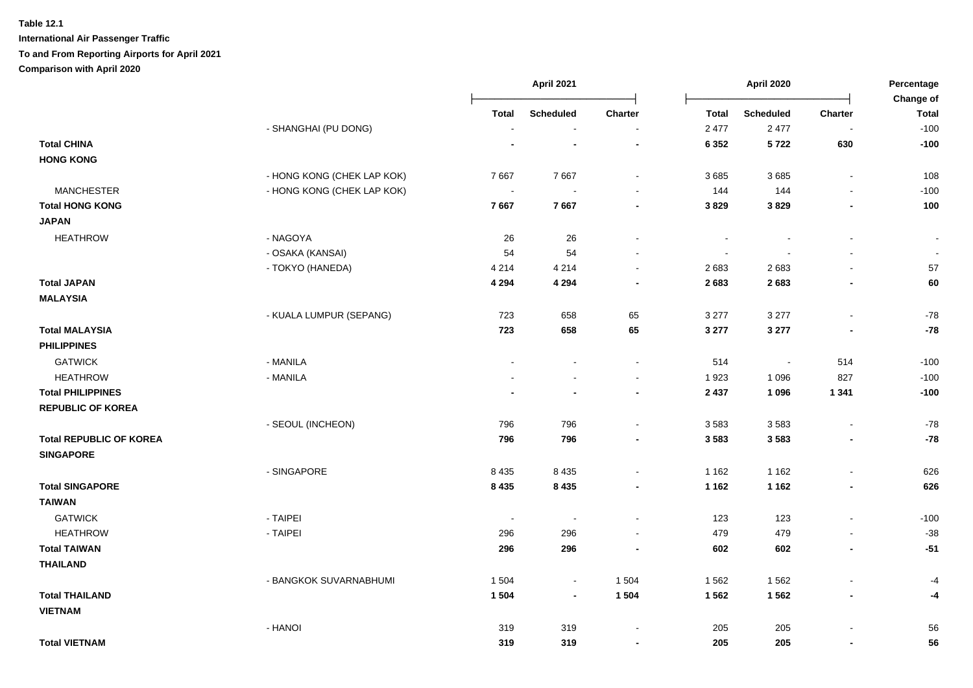|                                         |                            | April 2021     |                  | April 2020               |              |                          | Percentage<br>Change of  |                |
|-----------------------------------------|----------------------------|----------------|------------------|--------------------------|--------------|--------------------------|--------------------------|----------------|
|                                         |                            | <b>Total</b>   | <b>Scheduled</b> | Charter                  | <b>Total</b> | <b>Scheduled</b>         | <b>Charter</b>           | <b>Total</b>   |
|                                         | - SHANGHAI (PU DONG)       | $\blacksquare$ | $\blacksquare$   | $\sim$                   | 2 4 7 7      | 2 4 7 7                  | $\blacksquare$           | $-100$         |
| <b>Total CHINA</b>                      |                            |                |                  | $\overline{\phantom{a}}$ | 6 3 5 2      | 5722                     | 630                      | $-100$         |
| <b>HONG KONG</b>                        |                            |                |                  |                          |              |                          |                          |                |
|                                         | - HONG KONG (CHEK LAP KOK) | 7667           | 7667             | $\sim$                   | 3685         | 3685                     | $\blacksquare$           | 108            |
| <b>MANCHESTER</b>                       | - HONG KONG (CHEK LAP KOK) | $\blacksquare$ |                  |                          | 144          | 144                      |                          | $-100$         |
| <b>Total HONG KONG</b>                  |                            | 7667           | 7667             | $\blacksquare$           | 3829         | 3829                     |                          | 100            |
| <b>JAPAN</b>                            |                            |                |                  |                          |              |                          |                          |                |
| <b>HEATHROW</b>                         | - NAGOYA                   | 26             | 26               | $\sim$                   |              |                          | $\overline{\phantom{a}}$ | $\blacksquare$ |
|                                         | - OSAKA (KANSAI)           | 54             | 54               |                          |              |                          |                          | $\sim$         |
|                                         | - TOKYO (HANEDA)           | 4 2 1 4        | 4 2 1 4          | $\sim$                   | 2683         | 2683                     | L.                       | 57             |
| <b>Total JAPAN</b>                      |                            | 4 2 9 4        | 4 2 9 4          |                          | 2683         | 2683                     |                          | 60             |
| <b>MALAYSIA</b>                         |                            |                |                  |                          |              |                          |                          |                |
|                                         | - KUALA LUMPUR (SEPANG)    | 723            | 658              | 65                       | 3 2 7 7      | 3 2 7 7                  | $\blacksquare$           | $-78$          |
| <b>Total MALAYSIA</b>                   |                            | 723            | 658              | 65                       | 3 277        | 3 2 7 7                  | ٠                        | $-78$          |
| <b>PHILIPPINES</b>                      |                            |                |                  |                          |              |                          |                          |                |
| <b>GATWICK</b>                          | - MANILA                   |                |                  | $\sim$                   | 514          | $\overline{\phantom{a}}$ | 514                      | $-100$         |
| <b>HEATHROW</b>                         | - MANILA                   |                |                  | $\sim$                   | 1923         | 1 0 9 6                  | 827                      | $-100$         |
| <b>Total PHILIPPINES</b>                |                            |                |                  | $\blacksquare$           | 2 4 3 7      | 1 0 9 6                  | 1 3 4 1                  | $-100$         |
| <b>REPUBLIC OF KOREA</b>                |                            |                |                  |                          |              |                          |                          |                |
|                                         | - SEOUL (INCHEON)          | 796            | 796              |                          | 3583         | 3583                     | L.                       | $-78$          |
| <b>Total REPUBLIC OF KOREA</b>          |                            | 796            | 796              |                          | 3 5 8 3      | 3583                     |                          | $-78$          |
| <b>SINGAPORE</b>                        |                            |                |                  |                          |              |                          |                          |                |
|                                         | - SINGAPORE                | 8 4 3 5        | 8 4 3 5          | $\sim$                   | 1 1 6 2      | 1 1 6 2                  | $\mathbf{r}$             | 626            |
| <b>Total SINGAPORE</b>                  |                            | 8 4 3 5        | 8 4 3 5          |                          | 1 1 6 2      | 1 1 6 2                  | $\blacksquare$           | 626            |
| <b>TAIWAN</b>                           |                            |                |                  |                          |              |                          |                          |                |
| <b>GATWICK</b>                          | - TAIPEI                   | $\sim$         | $\blacksquare$   |                          | 123          | 123                      | $\overline{a}$           | $-100$         |
| <b>HEATHROW</b>                         | - TAIPEI                   | 296            | 296              |                          | 479          | 479                      |                          | $-38$          |
| <b>Total TAIWAN</b>                     |                            | 296            | 296              |                          | 602          | 602                      | $\blacksquare$           | $-51$          |
| <b>THAILAND</b>                         |                            |                |                  |                          |              |                          |                          |                |
|                                         | - BANGKOK SUVARNABHUMI     | 1 504          | $\blacksquare$   | 1 504                    | 1 5 6 2      | 1562                     | $\blacksquare$           | $-4$           |
| <b>Total THAILAND</b><br><b>VIETNAM</b> |                            | 1504           | $\blacksquare$   | 1 5 0 4                  | 1562         | 1562                     | $\blacksquare$           | -4             |
|                                         | - HANOI                    | 319            | 319              |                          | 205          | 205                      |                          | 56             |
| <b>Total VIETNAM</b>                    |                            | 319            | 319              |                          | 205          | 205                      | $\blacksquare$           | 56             |
|                                         |                            |                |                  |                          |              |                          |                          |                |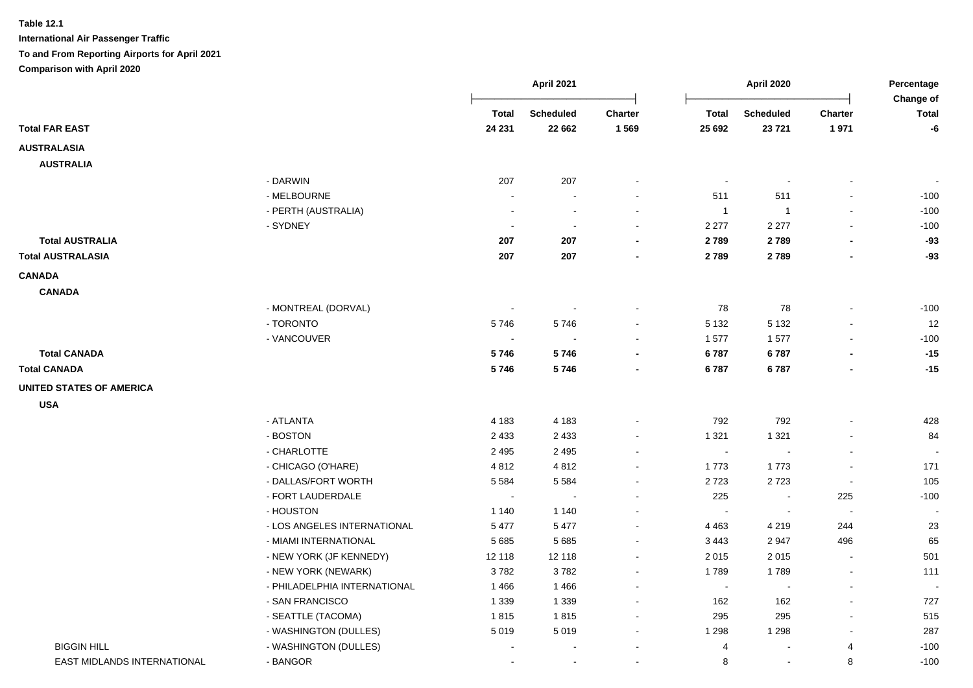**Table 12.1 International Air Passenger Traffic**

**To and From Reporting Airports for April 2021**

**Comparison with April 2020**

|                                 |                                             |                | <b>April 2021</b> |         | April 2020     |                  | Percentage<br>Change of  |                          |
|---------------------------------|---------------------------------------------|----------------|-------------------|---------|----------------|------------------|--------------------------|--------------------------|
|                                 |                                             | <b>Total</b>   | <b>Scheduled</b>  | Charter | <b>Total</b>   | <b>Scheduled</b> | Charter                  | <b>Total</b>             |
| <b>Total FAR EAST</b>           |                                             | 24 231         | 22 662            | 1569    | 25 692         | 23 7 21          | 1971                     | $-6$                     |
| <b>AUSTRALASIA</b>              |                                             |                |                   |         |                |                  |                          |                          |
| <b>AUSTRALIA</b>                |                                             |                |                   |         |                |                  |                          |                          |
|                                 | - DARWIN                                    | 207            | 207               |         | $\blacksquare$ |                  |                          | $\overline{\phantom{a}}$ |
|                                 | - MELBOURNE                                 |                |                   |         | 511            | 511              |                          | $-100$                   |
|                                 | - PERTH (AUSTRALIA)                         |                |                   |         | $\overline{1}$ | $\overline{1}$   |                          | $-100$                   |
|                                 | - SYDNEY                                    |                |                   |         | 2 2 7 7        | 2 2 7 7          |                          | $-100$                   |
| <b>Total AUSTRALIA</b>          |                                             | 207            | 207               |         | 2789           | 2789             |                          | $-93$                    |
| <b>Total AUSTRALASIA</b>        |                                             | 207            | 207               |         | 2789           | 2789             |                          | $-93$                    |
| <b>CANADA</b>                   |                                             |                |                   |         |                |                  |                          |                          |
| <b>CANADA</b>                   |                                             |                |                   |         |                |                  |                          |                          |
|                                 | - MONTREAL (DORVAL)                         | $\blacksquare$ | $\blacksquare$    |         | 78             | 78               |                          | $-100$                   |
|                                 | - TORONTO                                   | 5746           | 5746              |         | 5 1 3 2        | 5 1 3 2          |                          | 12                       |
|                                 | - VANCOUVER                                 | $\sim$         | $\sim$            |         | 1577           | 1577             |                          | $-100$                   |
| <b>Total CANADA</b>             |                                             | 5746           | 5746              |         | 6787           | 6787             |                          | $-15$                    |
| <b>Total CANADA</b>             |                                             | 5746           | 5746              |         | 6787           | 6787             |                          | $-15$                    |
|                                 |                                             |                |                   |         |                |                  |                          |                          |
| <b>UNITED STATES OF AMERICA</b> |                                             |                |                   |         |                |                  |                          |                          |
| <b>USA</b>                      |                                             |                |                   |         |                |                  |                          |                          |
|                                 | - ATLANTA                                   | 4 1 8 3        | 4 1 8 3           |         | 792            | 792              |                          | 428                      |
|                                 | - BOSTON                                    | 2 4 3 3        | 2 4 3 3           |         | 1 3 2 1        | 1 3 2 1          |                          | 84                       |
|                                 | - CHARLOTTE                                 | 2 4 9 5        | 2 4 9 5           |         | $\sim$         | $\blacksquare$   | $\overline{\phantom{a}}$ |                          |
|                                 | - CHICAGO (O'HARE)                          | 4812           | 4812              |         | 1773           | 1773             |                          | 171                      |
|                                 | - DALLAS/FORT WORTH                         | 5 5 8 4        | 5 5 8 4           |         | 2723           | 2723             | $\blacksquare$           | 105                      |
|                                 | - FORT LAUDERDALE                           | $\sim$         |                   |         | 225            | $\blacksquare$   | 225                      | $-100$                   |
|                                 | - HOUSTON                                   | 1 140          | 1 1 4 0           |         | $\sim$         | $\sim$           | $\overline{\phantom{a}}$ |                          |
|                                 | - LOS ANGELES INTERNATIONAL                 | 5 4 7 7        | 5 4 7 7           | $\sim$  | 4 4 6 3        | 4 2 1 9          | 244                      | 23                       |
|                                 | - MIAMI INTERNATIONAL                       | 5685           | 5685              | $\sim$  | 3 4 4 3        | 2947             | 496                      | 65                       |
|                                 | - NEW YORK (JF KENNEDY)                     | 12 118         | 12 118            | $\sim$  | 2015           | 2015             | $\blacksquare$           | 501                      |
|                                 | - NEW YORK (NEWARK)                         | 3782           | 3782              | $\sim$  | 1789           | 1789             |                          | 111                      |
|                                 | - PHILADELPHIA INTERNATIONAL                | 1466           | 1466              | $\sim$  | $\sim$         | $\blacksquare$   |                          |                          |
|                                 | - SAN FRANCISCO                             | 1 3 3 9        | 1 3 3 9           |         | 162            | 162              |                          | 727                      |
|                                 | - SEATTLE (TACOMA)<br>- WASHINGTON (DULLES) | 1815<br>5019   | 1815<br>5 0 1 9   |         | 295<br>1 2 9 8 | 295<br>1 2 9 8   |                          | 515<br>287               |
| <b>BIGGIN HILL</b>              | - WASHINGTON (DULLES)                       |                |                   |         | $\overline{4}$ |                  | $\overline{4}$           | $-100$                   |
| EAST MIDLANDS INTERNATIONAL     | - BANGOR                                    |                |                   |         | $\,8\,$        | $\sim$           | 8                        | $-100$                   |
|                                 |                                             |                |                   |         |                |                  |                          |                          |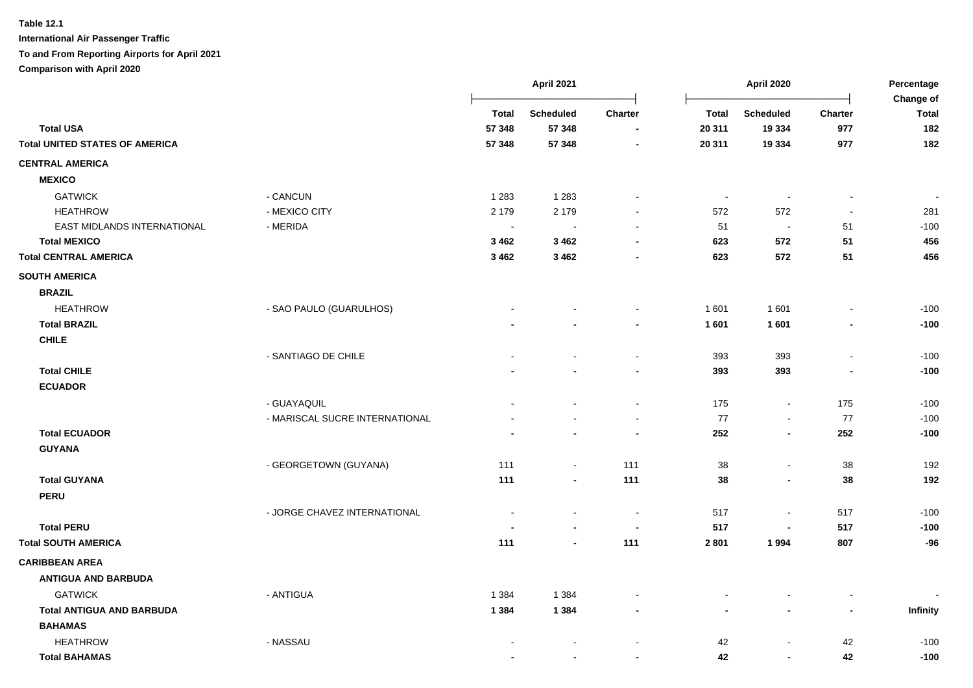|                                       |                                |                          | April 2021       |                | April 2020     |                          | Percentage<br>Change of      |                          |
|---------------------------------------|--------------------------------|--------------------------|------------------|----------------|----------------|--------------------------|------------------------------|--------------------------|
|                                       |                                | <b>Total</b>             | <b>Scheduled</b> | Charter        | <b>Total</b>   | <b>Scheduled</b>         | <b>Charter</b>               | <b>Total</b>             |
| <b>Total USA</b>                      |                                | 57 348                   | 57 348           |                | 20 311         | 19 3 34                  | 977                          | 182                      |
| <b>Total UNITED STATES OF AMERICA</b> |                                | 57 348                   | 57 348           |                | 20 311         | 19 3 34                  | 977                          | 182                      |
| <b>CENTRAL AMERICA</b>                |                                |                          |                  |                |                |                          |                              |                          |
| <b>MEXICO</b>                         |                                |                          |                  |                |                |                          |                              |                          |
| <b>GATWICK</b>                        | - CANCUN                       | 1 2 8 3                  | 1 2 8 3          | $\sim$         | $\blacksquare$ | $\overline{\phantom{a}}$ | $\blacksquare$               | $\overline{\phantom{a}}$ |
| <b>HEATHROW</b>                       | - MEXICO CITY                  | 2 1 7 9                  | 2 1 7 9          |                | 572            | 572                      | $\sim$                       | 281                      |
| EAST MIDLANDS INTERNATIONAL           | - MERIDA                       | $\sim$                   | $\sim$           |                | 51             | $\sim$                   | 51                           | $-100$                   |
| <b>Total MEXICO</b>                   |                                | 3 4 6 2                  | 3 4 6 2          |                | 623            | 572                      | 51                           | 456                      |
| <b>Total CENTRAL AMERICA</b>          |                                | 3 4 6 2                  | 3 4 6 2          |                | 623            | 572                      | 51                           | 456                      |
| <b>SOUTH AMERICA</b>                  |                                |                          |                  |                |                |                          |                              |                          |
| <b>BRAZIL</b>                         |                                |                          |                  |                |                |                          |                              |                          |
| <b>HEATHROW</b>                       | - SAO PAULO (GUARULHOS)        |                          |                  |                | 1 601          | 1 601                    | $\blacksquare$               | $-100$                   |
| <b>Total BRAZIL</b>                   |                                |                          |                  |                | 1 601          | 1 601                    |                              | $-100$                   |
| <b>CHILE</b>                          |                                |                          |                  |                |                |                          |                              |                          |
|                                       | - SANTIAGO DE CHILE            |                          |                  | $\sim$         | 393            | 393                      | $\blacksquare$               | $-100$                   |
| <b>Total CHILE</b>                    |                                |                          |                  |                | 393            | 393                      |                              | $-100$                   |
| <b>ECUADOR</b>                        |                                |                          |                  |                |                |                          |                              |                          |
|                                       | - GUAYAQUIL                    |                          |                  | $\blacksquare$ | 175            | $\sim$                   | 175                          | $-100$                   |
|                                       | - MARISCAL SUCRE INTERNATIONAL |                          |                  |                | 77             | $\sim$                   | 77                           | $-100$                   |
| <b>Total ECUADOR</b>                  |                                |                          |                  |                | 252            | $\blacksquare$           | 252                          | $-100$                   |
| <b>GUYANA</b>                         |                                |                          |                  |                |                |                          |                              |                          |
|                                       | - GEORGETOWN (GUYANA)          | 111                      | $\sim$           | 111            | 38             | $\sim$                   | 38                           | 192                      |
| <b>Total GUYANA</b>                   |                                | 111                      |                  | 111            | 38             | $\blacksquare$           | 38                           | 192                      |
| <b>PERU</b>                           |                                |                          |                  |                |                |                          |                              |                          |
|                                       | - JORGE CHAVEZ INTERNATIONAL   | $\overline{\phantom{a}}$ |                  | $\sim$         | 517            | $\sim$                   | 517                          | $-100$                   |
| <b>Total PERU</b>                     |                                |                          |                  |                | 517            |                          | 517                          | $-100$                   |
| <b>Total SOUTH AMERICA</b>            |                                | 111                      |                  | 111            | 2 8 0 1        | 1994                     | 807                          | $-96$                    |
| <b>CARIBBEAN AREA</b>                 |                                |                          |                  |                |                |                          |                              |                          |
| <b>ANTIGUA AND BARBUDA</b>            |                                |                          |                  |                |                |                          |                              |                          |
| <b>GATWICK</b>                        | - ANTIGUA                      | 1 3 8 4                  | 1 3 8 4          |                |                |                          | $\qquad \qquad \blacksquare$ |                          |
| <b>Total ANTIGUA AND BARBUDA</b>      |                                | 1 3 8 4                  | 1 3 8 4          |                |                | $\blacksquare$           | $\overline{\phantom{a}}$     | Infinity                 |
| <b>BAHAMAS</b>                        |                                |                          |                  |                |                |                          |                              |                          |
| <b>HEATHROW</b>                       | - NASSAU                       |                          |                  |                | 42             |                          | 42                           | $-100$                   |
| <b>Total BAHAMAS</b>                  |                                |                          | $\blacksquare$   |                | 42             | $\blacksquare$           | 42                           | $-100$                   |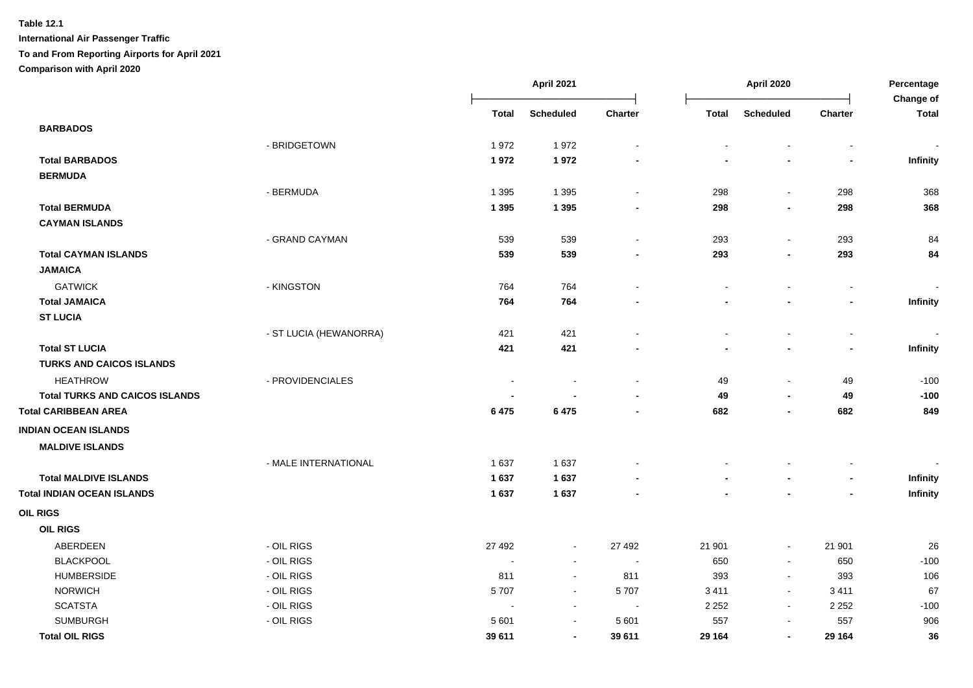|                                       |                        |              | April 2021       |                          | April 2020     |                          |                          | Percentage<br>Change of |  |
|---------------------------------------|------------------------|--------------|------------------|--------------------------|----------------|--------------------------|--------------------------|-------------------------|--|
|                                       |                        | <b>Total</b> | <b>Scheduled</b> | Charter                  | <b>Total</b>   | <b>Scheduled</b>         | Charter                  | <b>Total</b>            |  |
| <b>BARBADOS</b>                       |                        |              |                  |                          |                |                          |                          |                         |  |
|                                       | - BRIDGETOWN           | 1972         | 1972             | $\ddot{\phantom{0}}$     |                |                          |                          |                         |  |
| <b>Total BARBADOS</b>                 |                        | 1972         | 1972             |                          |                |                          | $\blacksquare$           | <b>Infinity</b>         |  |
| <b>BERMUDA</b>                        |                        |              |                  |                          |                |                          |                          |                         |  |
|                                       | - BERMUDA              | 1 3 9 5      | 1 3 9 5          | $\blacksquare$           | 298            | $\blacksquare$           | 298                      | 368                     |  |
| <b>Total BERMUDA</b>                  |                        | 1 3 9 5      | 1 3 9 5          | $\overline{\phantom{a}}$ | 298            | $\overline{\phantom{a}}$ | 298                      | 368                     |  |
| <b>CAYMAN ISLANDS</b>                 |                        |              |                  |                          |                |                          |                          |                         |  |
|                                       | - GRAND CAYMAN         | 539          | 539              | $\blacksquare$           | 293            | $\blacksquare$           | 293                      | 84                      |  |
| <b>Total CAYMAN ISLANDS</b>           |                        | 539          | 539              |                          | 293            | $\blacksquare$           | 293                      | 84                      |  |
| <b>JAMAICA</b>                        |                        |              |                  |                          |                |                          |                          |                         |  |
| <b>GATWICK</b>                        | - KINGSTON             | 764          | 764              | $\blacksquare$           | $\blacksquare$ | $\blacksquare$           | $\blacksquare$           | $\blacksquare$          |  |
| <b>Total JAMAICA</b>                  |                        | 764          | 764              |                          |                | $\overline{\phantom{a}}$ | $\overline{\phantom{a}}$ | Infinity                |  |
| <b>ST LUCIA</b>                       |                        |              |                  |                          |                |                          |                          |                         |  |
|                                       | - ST LUCIA (HEWANORRA) | 421          | 421              |                          |                |                          | $\blacksquare$           |                         |  |
| <b>Total ST LUCIA</b>                 |                        | 421          | 421              | $\overline{\phantom{a}}$ |                | $\overline{\phantom{a}}$ | $\overline{\phantom{a}}$ | Infinity                |  |
| <b>TURKS AND CAICOS ISLANDS</b>       |                        |              |                  |                          |                |                          |                          |                         |  |
| <b>HEATHROW</b>                       | - PROVIDENCIALES       |              |                  | $\sim$                   | 49             | $\blacksquare$           | 49                       | $-100$                  |  |
| <b>Total TURKS AND CAICOS ISLANDS</b> |                        |              |                  |                          | 49             | $\blacksquare$           | 49                       | $-100$                  |  |
| <b>Total CARIBBEAN AREA</b>           |                        | 6 4 7 5      | 6 4 7 5          | $\overline{\phantom{0}}$ | 682            | $\blacksquare$           | 682                      | 849                     |  |
| <b>INDIAN OCEAN ISLANDS</b>           |                        |              |                  |                          |                |                          |                          |                         |  |
| <b>MALDIVE ISLANDS</b>                |                        |              |                  |                          |                |                          |                          |                         |  |
|                                       | - MALE INTERNATIONAL   | 1 6 3 7      | 1637             |                          |                |                          |                          |                         |  |
| <b>Total MALDIVE ISLANDS</b>          |                        | 1 637        | 1637             |                          |                |                          | $\blacksquare$           | Infinity                |  |
| <b>Total INDIAN OCEAN ISLANDS</b>     |                        | 1637         | 1637             |                          |                |                          |                          | Infinity                |  |
| <b>OIL RIGS</b>                       |                        |              |                  |                          |                |                          |                          |                         |  |
| <b>OIL RIGS</b>                       |                        |              |                  |                          |                |                          |                          |                         |  |
| ABERDEEN                              | - OIL RIGS             | 27 492       | $\sim$           | 27 492                   | 21 901         | $\blacksquare$           | 21 901                   | 26                      |  |
| <b>BLACKPOOL</b>                      | - OIL RIGS             |              | $\sim$           | $\sim$                   | 650            | $\mathbf{r}$             | 650                      | $-100$                  |  |
| <b>HUMBERSIDE</b>                     | - OIL RIGS             | 811          | $\sim$           | 811                      | 393            | $\blacksquare$           | 393                      | 106                     |  |
| <b>NORWICH</b>                        | - OIL RIGS             | 5707         | $\sim$           | 5707                     | 3411           | $\blacksquare$           | 3411                     | 67                      |  |
| <b>SCATSTA</b>                        | - OIL RIGS             | $\sim$       | $\sim$           | $\sim$                   | 2 2 5 2        | $\mathbf{r}$             | 2 2 5 2                  | $-100$                  |  |
| <b>SUMBURGH</b>                       | - OIL RIGS             | 5 601        | $\sim$           | 5 601                    | 557            | $\blacksquare$           | 557                      | 906                     |  |
| <b>Total OIL RIGS</b>                 |                        | 39 611       | $\blacksquare$   | 39 611                   | 29 164         | $\blacksquare$           | 29 164                   | 36                      |  |